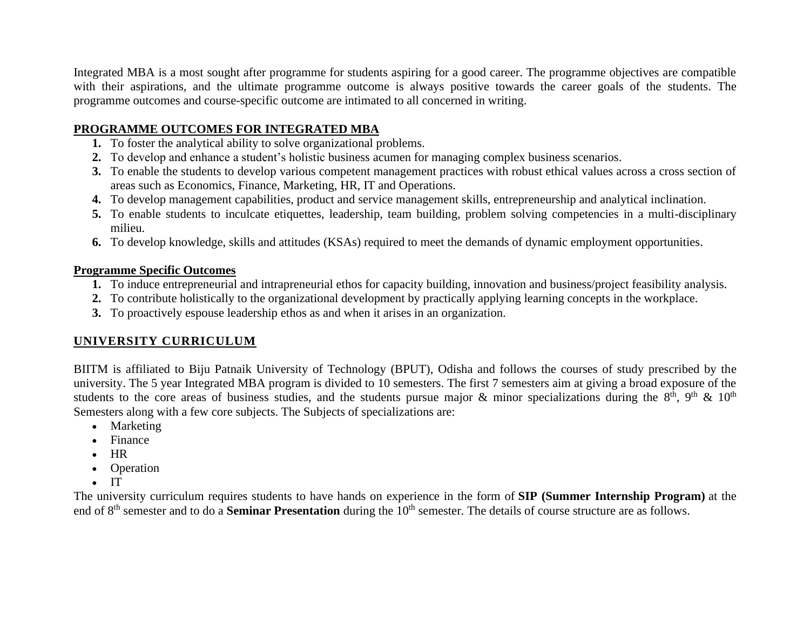Integrated MBA is a most sought after programme for students aspiring for a good career. The programme objectives are compatible with their aspirations, and the ultimate programme outcome is always positive towards the career goals of the students. The programme outcomes and course-specific outcome are intimated to all concerned in writing.

### **PROGRAMME OUTCOMES FOR INTEGRATED MBA**

- **1.** To foster the analytical ability to solve organizational problems.
- **2.** To develop and enhance a student's holistic business acumen for managing complex business scenarios.
- **3.** To enable the students to develop various competent management practices with robust ethical values across a cross section of areas such as Economics, Finance, Marketing, HR, IT and Operations.
- **4.** To develop management capabilities, product and service management skills, entrepreneurship and analytical inclination.
- **5.** To enable students to inculcate etiquettes, leadership, team building, problem solving competencies in a multi-disciplinary milieu.
- **6.** To develop knowledge, skills and attitudes (KSAs) required to meet the demands of dynamic employment opportunities.

#### **Programme Specific Outcomes**

- **1.** To induce entrepreneurial and intrapreneurial ethos for capacity building, innovation and business/project feasibility analysis.
- **2.** To contribute holistically to the organizational development by practically applying learning concepts in the workplace.
- **3.** To proactively espouse leadership ethos as and when it arises in an organization.

# **UNIVERSITY CURRICULUM**

BIITM is affiliated to Biju Patnaik University of Technology (BPUT), Odisha and follows the courses of study prescribed by the university. The 5 year Integrated MBA program is divided to 10 semesters. The first 7 semesters aim at giving a broad exposure of the students to the core areas of business studies, and the students pursue major  $\&$  minor specializations during the  $8<sup>th</sup>$ ,  $9<sup>th</sup>$  &  $10<sup>th</sup>$ Semesters along with a few core subjects. The Subjects of specializations are:

- Marketing
- Finance
- HR
- Operation
- IT

The university curriculum requires students to have hands on experience in the form of **SIP (Summer Internship Program)** at the end of 8<sup>th</sup> semester and to do a **Seminar Presentation** during the 10<sup>th</sup> semester. The details of course structure are as follows.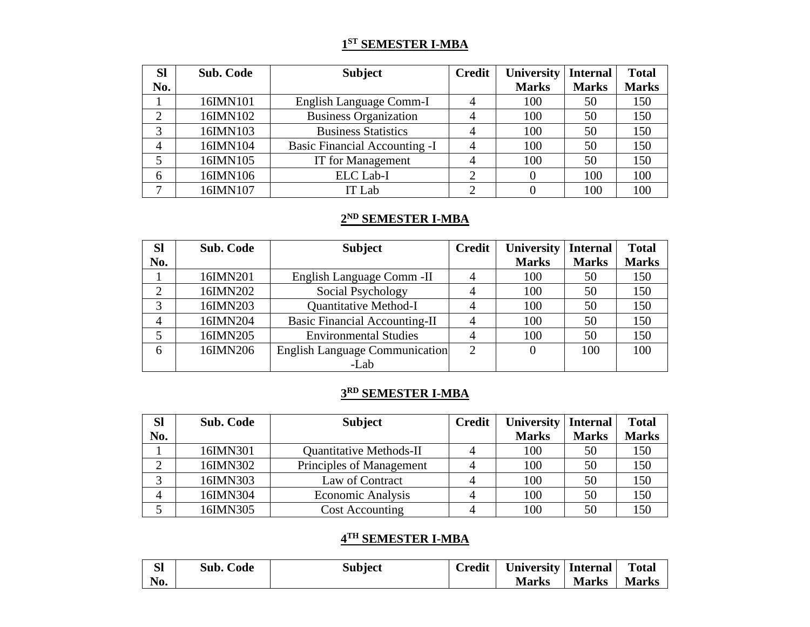#### **1 ST SEMESTER I-MBA**

| <b>SI</b>    | <b>Sub. Code</b> | <b>Subject</b>                       | <b>Credit</b> | University   | <b>Internal</b> | <b>Total</b> |
|--------------|------------------|--------------------------------------|---------------|--------------|-----------------|--------------|
| No.          |                  |                                      |               | <b>Marks</b> | <b>Marks</b>    | <b>Marks</b> |
|              | 16IMN101         | English Language Comm-I              |               | 100          | 50              | 150          |
| ⌒            | 16IMN102         | <b>Business Organization</b>         |               | 100          | 50              | 150          |
| 3            | 16IMN103         | <b>Business Statistics</b>           |               | 100          | 50              | 150          |
| 4            | 16IMN104         | <b>Basic Financial Accounting -I</b> |               | 100          | 50              | 150          |
|              | 16IMN105         | IT for Management                    |               | 100          | 50              | 150          |
| 6            | 16IMN106         | ELC Lab-I                            |               |              | 100             | 100          |
| $\mathbf{r}$ | 16IMN107         | IT Lab                               |               |              | 100             | 100          |

#### **2 ND SEMESTER I-MBA**

| <b>SI</b> | <b>Sub. Code</b> | <b>Subject</b>                        | <b>Credit</b>  | University   | <b>Internal</b> | <b>Total</b> |
|-----------|------------------|---------------------------------------|----------------|--------------|-----------------|--------------|
| No.       |                  |                                       |                | <b>Marks</b> | <b>Marks</b>    | <b>Marks</b> |
|           | 16IMN201         | English Language Comm - II            |                | 100          | 50              | 150          |
| 2         | 16IMN202         | Social Psychology                     |                | 100          | 50              | 150          |
| 3         | 16IMN203         | <b>Quantitative Method-I</b>          |                | 100          | 50              | 150          |
| 4         | 16IMN204         | <b>Basic Financial Accounting-II</b>  |                | 100          | 50              | 150          |
|           | 16IMN205         | <b>Environmental Studies</b>          |                | 100          | 50              | 150          |
| 6         | 16IMN206         | <b>English Language Communication</b> | $\overline{2}$ |              | 100             | 100          |
|           |                  | -Lab                                  |                |              |                 |              |

# **3 RD SEMESTER I-MBA**

| <b>SI</b>      | <b>Sub. Code</b> | <b>Subject</b>                 | <b>Credit</b> | <b>University</b> | <b>Internal</b> | <b>Total</b> |
|----------------|------------------|--------------------------------|---------------|-------------------|-----------------|--------------|
| No.            |                  |                                |               | <b>Marks</b>      | <b>Marks</b>    | <b>Marks</b> |
|                | 16IMN301         | <b>Quantitative Methods-II</b> |               | 100               | 50              | 150          |
|                | 16IMN302         | Principles of Management       |               | 100               | 50              | 150          |
|                | 16IMN303         | Law of Contract                |               | 100               | 50              | 150          |
| $\overline{4}$ | 16IMN304         | <b>Economic Analysis</b>       |               | 100               | 50              | 150          |
|                | 16IMN305         | <b>Cost Accounting</b>         |               | 100               | 50              | 150          |

## **4 TH SEMESTER I-MBA**

|     | <b>Sub. Code</b> | <b>Subject</b> | Credit | University   Internal |       | <b>Total</b> |
|-----|------------------|----------------|--------|-----------------------|-------|--------------|
| No. |                  |                |        | <b>Marks</b>          | Marks | <b>Marks</b> |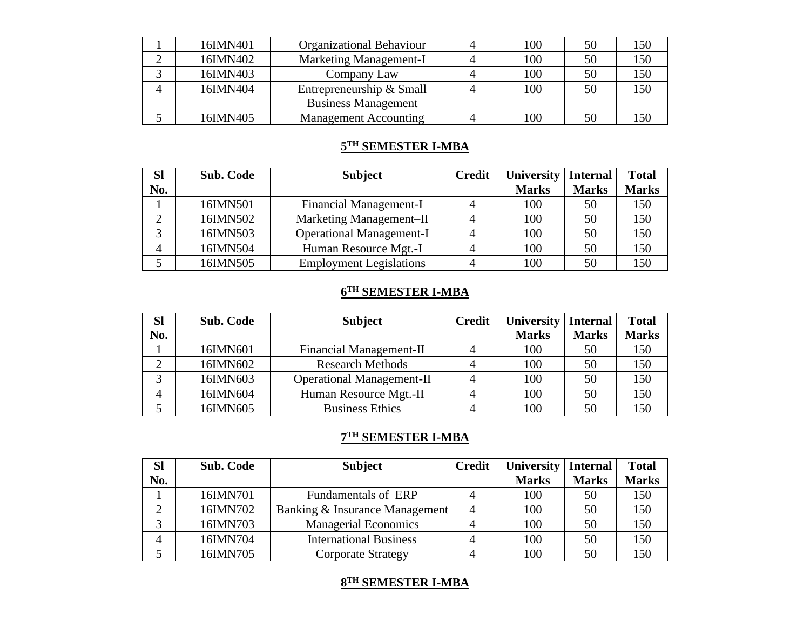| 16IMN401 | <b>Organizational Behaviour</b> | 100 | 50 | 150 |
|----------|---------------------------------|-----|----|-----|
| 16IMN402 | <b>Marketing Management-I</b>   | 100 | 50 | 150 |
| 16IMN403 | Company Law                     | 100 | 50 | 150 |
| 16IMN404 | Entrepreneurship & Small        | 100 | 50 | 150 |
|          | <b>Business Management</b>      |     |    |     |
| 16IMN405 | <b>Management Accounting</b>    | 100 | 50 |     |

## **5 TH SEMESTER I-MBA**

| <b>SI</b> | Sub. Code | <b>Subject</b>                  | <b>Credit</b> | University   | <b>Internal</b> | <b>Total</b> |
|-----------|-----------|---------------------------------|---------------|--------------|-----------------|--------------|
| No.       |           |                                 |               | <b>Marks</b> | <b>Marks</b>    | <b>Marks</b> |
|           | 16IMN501  | <b>Financial Management-I</b>   |               | 100          | 50              | 150          |
|           | 16IMN502  | Marketing Management-II         |               | 100          | 50              | 150          |
| っ         | 16IMN503  | <b>Operational Management-I</b> |               | 100          | 50              | 150          |
| 4         | 16IMN504  | Human Resource Mgt.-I           |               | 100          | 50              | 150          |
|           | 16IMN505  | <b>Employment Legislations</b>  |               | 100          | 50              | 150          |

## **6 TH SEMESTER I-MBA**

| <b>Sl</b> | <b>Sub. Code</b> | <b>Subject</b>                   | <b>Credit</b> | <b>University</b> | Internal     | <b>Total</b> |
|-----------|------------------|----------------------------------|---------------|-------------------|--------------|--------------|
| No.       |                  |                                  |               | <b>Marks</b>      | <b>Marks</b> | <b>Marks</b> |
|           | 16IMN601         | Financial Management-II          |               | 100               | 50           | 150          |
|           | 16IMN602         | <b>Research Methods</b>          |               | 100               | 50           | 150          |
|           | 16IMN603         | <b>Operational Management-II</b> |               | 100               | 50           | 150          |
| 4         | 16IMN604         | Human Resource Mgt.-II           |               | 100               | 50           | 150          |
|           | 16IMN605         | <b>Business Ethics</b>           |               | 100               | 50           | 150          |

#### **7 TH SEMESTER I-MBA**

| <b>Sl</b> | <b>Sub. Code</b> | <b>Subject</b>                 | <b>Credit</b> | University   | <b>Internal</b> | <b>Total</b> |
|-----------|------------------|--------------------------------|---------------|--------------|-----------------|--------------|
| No.       |                  |                                |               | <b>Marks</b> | <b>Marks</b>    | <b>Marks</b> |
|           | 16IMN701         | Fundamentals of ERP            |               | 100          | 50              | 150          |
|           | 16IMN702         | Banking & Insurance Management |               | 100          | 50              | 150          |
|           | 16IMN703         | <b>Managerial Economics</b>    |               | 100          | 50              | 150          |
| 4         | 16IMN704         | <b>International Business</b>  |               | 100          | 50              | 150          |
|           | 16IMN705         | <b>Corporate Strategy</b>      |               | 100          | 50              | 150          |

## **8 TH SEMESTER I-MBA**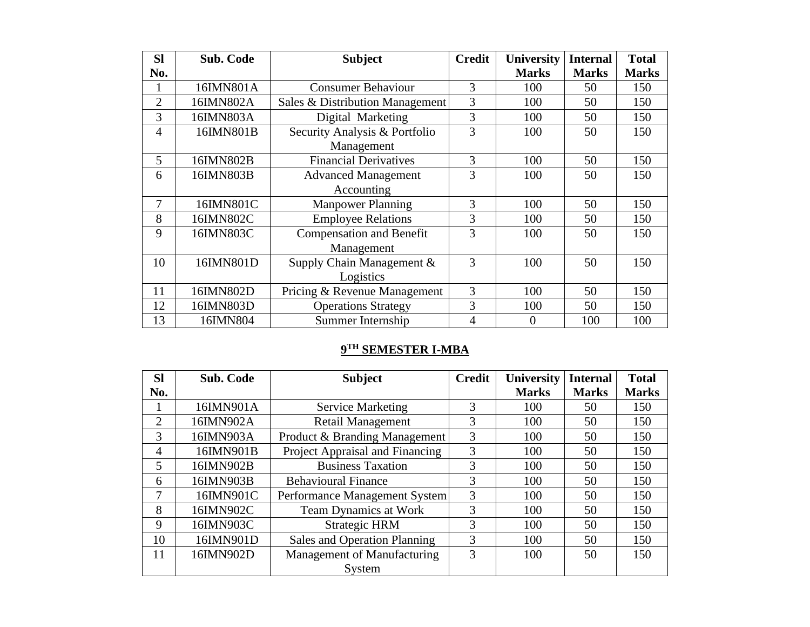| <b>SI</b>      | <b>Sub. Code</b> | <b>Subject</b>                  | <b>Credit</b>  | <b>University</b> | <b>Internal</b> | <b>Total</b> |
|----------------|------------------|---------------------------------|----------------|-------------------|-----------------|--------------|
| No.            |                  |                                 |                | <b>Marks</b>      | <b>Marks</b>    | <b>Marks</b> |
|                | 16IMN801A        | <b>Consumer Behaviour</b>       | 3              | 100               | 50              | 150          |
| $\overline{2}$ | 16IMN802A        | Sales & Distribution Management | 3              | 100               | 50              | 150          |
| 3              | 16IMN803A        | Digital Marketing               | 3              | 100               | 50              | 150          |
| $\overline{4}$ | 16IMN801B        | Security Analysis & Portfolio   | $\overline{3}$ | 100               | 50              | 150          |
|                |                  | Management                      |                |                   |                 |              |
| 5              | 16IMN802B        | <b>Financial Derivatives</b>    | 3              | 100               | 50              | 150          |
| 6              | 16IMN803B        | <b>Advanced Management</b>      | 3              | 100               | 50              | 150          |
|                |                  | Accounting                      |                |                   |                 |              |
| 7              | 16IMN801C        | <b>Manpower Planning</b>        | 3              | 100               | 50              | 150          |
| 8              | 16IMN802C        | <b>Employee Relations</b>       | 3              | 100               | 50              | 150          |
| 9              | 16IMN803C        | <b>Compensation and Benefit</b> | 3              | 100               | 50              | 150          |
|                |                  | Management                      |                |                   |                 |              |
| 10             | 16IMN801D        | Supply Chain Management &       | 3              | 100               | 50              | 150          |
|                |                  | Logistics                       |                |                   |                 |              |
| 11             | 16IMN802D        | Pricing & Revenue Management    | 3              | 100               | 50              | 150          |
| 12             | 16IMN803D        | <b>Operations Strategy</b>      | 3              | 100               | 50              | 150          |
| 13             | 16IMN804         | Summer Internship               | 4              | $\overline{0}$    | 100             | 100          |

#### **9 TH SEMESTER I-MBA**

| <b>Sl</b> | <b>Sub. Code</b> | <b>Subject</b>                  | <b>Credit</b> | <b>University</b> | <b>Internal</b> | <b>Total</b> |
|-----------|------------------|---------------------------------|---------------|-------------------|-----------------|--------------|
| No.       |                  |                                 |               | <b>Marks</b>      | <b>Marks</b>    | <b>Marks</b> |
|           | 16IMN901A        | <b>Service Marketing</b>        | 3             | 100               | 50              | 150          |
| 2         | 16IMN902A        | <b>Retail Management</b>        | 3             | 100               | 50              | 150          |
| 3         | 16IMN903A        | Product & Branding Management   | 3             | 100               | 50              | 150          |
| 4         | 16IMN901B        | Project Appraisal and Financing | 3             | 100               | 50              | 150          |
| 5         | 16IMN902B        | <b>Business Taxation</b>        | 3             | 100               | 50              | 150          |
| 6         | 16IMN903B        | <b>Behavioural Finance</b>      | 3             | 100               | 50              | 150          |
| 7         | 16IMN901C        | Performance Management System   | 3             | 100               | 50              | 150          |
| 8         | 16IMN902C        | <b>Team Dynamics at Work</b>    | 3             | 100               | 50              | 150          |
| 9         | 16IMN903C        | <b>Strategic HRM</b>            | 3             | 100               | 50              | 150          |
| 10        | 16IMN901D        | Sales and Operation Planning    | 3             | 100               | 50              | 150          |
| 11        | 16IMN902D        | Management of Manufacturing     | 3             | 100               | 50              | 150          |
|           |                  | System                          |               |                   |                 |              |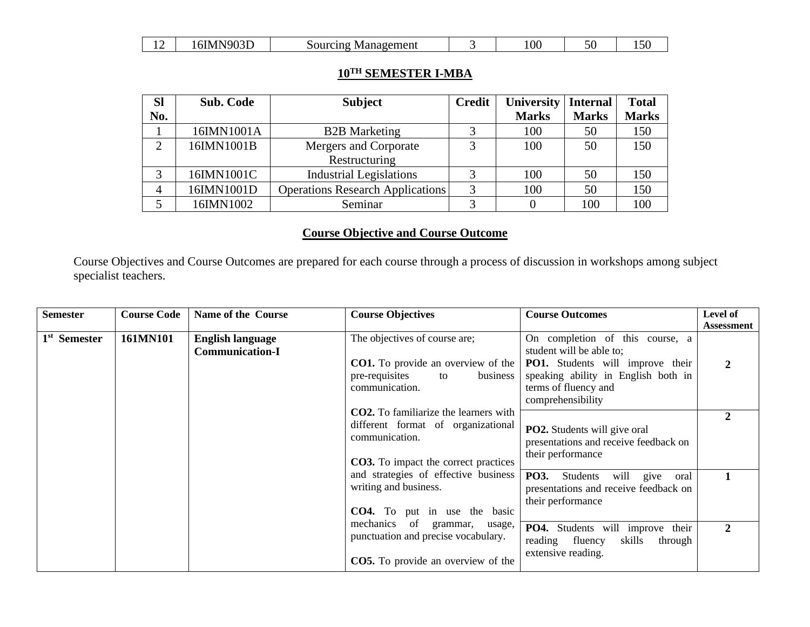|  | 6IMN903D | Sourcing Management |  | 00 <sub>1</sub> |  | 15U |
|--|----------|---------------------|--|-----------------|--|-----|
|--|----------|---------------------|--|-----------------|--|-----|

## **10TH SEMESTER I-MBA**

| <b>SI</b>      | <b>Sub. Code</b> | <b>Subject</b>                          | <b>Credit</b> | University   | <b>Internal</b> | <b>Total</b> |
|----------------|------------------|-----------------------------------------|---------------|--------------|-----------------|--------------|
| No.            |                  |                                         |               | <b>Marks</b> | <b>Marks</b>    | <b>Marks</b> |
|                | 16IMN1001A       | <b>B2B</b> Marketing                    | っ             | 100          | 50              | 150          |
| $\overline{2}$ | 16IMN1001B       | Mergers and Corporate                   | 2             | 100          | 50              | 150          |
|                |                  | Restructuring                           |               |              |                 |              |
|                | 16IMN1001C       | <b>Industrial Legislations</b>          |               | 100          | 50              | 150          |
| 4              | 16IMN1001D       | <b>Operations Research Applications</b> | 3             | 100          | 50              | 150          |
|                | 16IMN1002        | Seminar                                 | っ             |              | 100             | 100          |

## **Course Objective and Course Outcome**

Course Objectives and Course Outcomes are prepared for each course through a process of discussion in workshops among subject specialist teachers.

| <b>Semester</b>          | <b>Course Code</b> | Name of the Course                                                                                   | <b>Course Objectives</b>                                                                                                                            | <b>Course Outcomes</b>                                                                                               | Level of<br><b>Assessment</b> |
|--------------------------|--------------------|------------------------------------------------------------------------------------------------------|-----------------------------------------------------------------------------------------------------------------------------------------------------|----------------------------------------------------------------------------------------------------------------------|-------------------------------|
| 1 <sup>st</sup> Semester | 161MN101           | <b>English language</b><br><b>Communication-I</b>                                                    | The objectives of course are;                                                                                                                       | On completion of this course, a<br>student will be able to;                                                          |                               |
|                          |                    |                                                                                                      | <b>CO1.</b> To provide an overview of the<br>pre-requisites<br>business<br>to<br>communication.                                                     | PO1. Students will improve their<br>speaking ability in English both in<br>terms of fluency and<br>comprehensibility | 2                             |
|                          |                    |                                                                                                      | <b>CO2.</b> To familiarize the learners with<br>different format of organizational<br>communication.<br><b>CO3.</b> To impact the correct practices | PO2. Students will give oral<br>presentations and receive feedback on<br>their performance                           | 2                             |
|                          |                    | and strategies of effective business<br>writing and business.<br><b>CO4.</b> To put in use the basic | PO3.<br>give<br>Students<br>will<br>oral<br>presentations and receive feedback on<br>their performance                                              |                                                                                                                      |                               |
|                          |                    |                                                                                                      | mechanics of grammar,<br>usage,<br>punctuation and precise vocabulary.                                                                              | <b>PO4.</b><br>Students will improve their<br>skills<br>reading<br>fluency<br>through                                | $\mathbf{2}$                  |
|                          |                    |                                                                                                      | <b>CO5.</b> To provide an overview of the                                                                                                           | extensive reading.                                                                                                   |                               |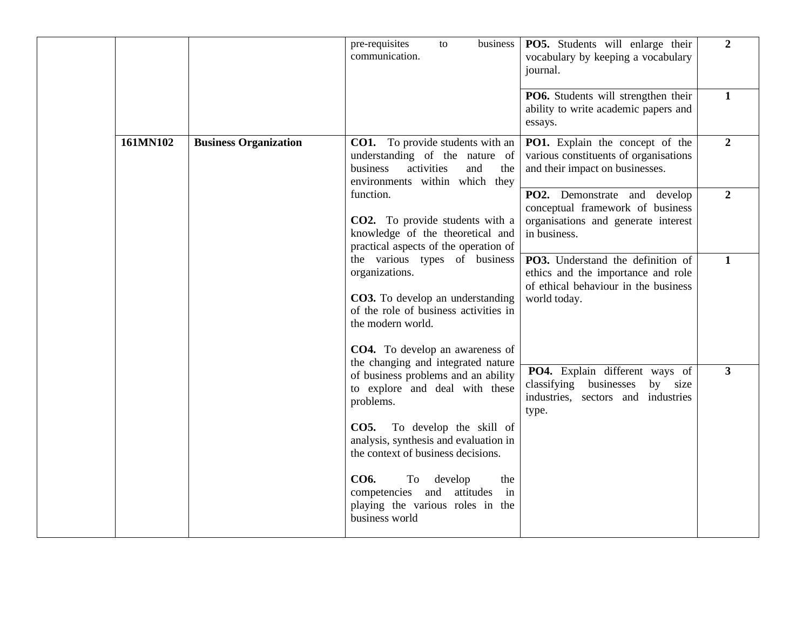|          |                              | pre-requisites<br>business<br>to<br>communication.                                                                                                                                                          | PO5. Students will enlarge their<br>vocabulary by keeping a vocabulary<br>journal.                                              | $\overline{2}$ |
|----------|------------------------------|-------------------------------------------------------------------------------------------------------------------------------------------------------------------------------------------------------------|---------------------------------------------------------------------------------------------------------------------------------|----------------|
|          |                              |                                                                                                                                                                                                             | PO6. Students will strengthen their<br>ability to write academic papers and<br>essays.                                          | $\mathbf{1}$   |
| 161MN102 | <b>Business Organization</b> | <b>CO1.</b> To provide students with an<br>understanding of the nature of<br>business<br>activities<br>and<br>the<br>environments within which they                                                         | PO1. Explain the concept of the<br>various constituents of organisations<br>and their impact on businesses.                     | $\overline{2}$ |
|          |                              | function.<br><b>CO2.</b> To provide students with a<br>knowledge of the theoretical and<br>practical aspects of the operation of                                                                            | PO2. Demonstrate and develop<br>conceptual framework of business<br>organisations and generate interest<br>in business.         | $\overline{2}$ |
|          |                              | the various types of business<br>organizations.<br><b>CO3.</b> To develop an understanding<br>of the role of business activities in<br>the modern world.<br><b>CO4.</b> To develop an awareness of          | PO3. Understand the definition of<br>ethics and the importance and role<br>of ethical behaviour in the business<br>world today. | $\mathbf{1}$   |
|          |                              | the changing and integrated nature<br>of business problems and an ability<br>to explore and deal with these<br>problems.<br>To develop the skill of<br><b>CO5.</b><br>analysis, synthesis and evaluation in | PO4. Explain different ways of<br>classifying businesses<br>by size<br>industries, sectors and industries<br>type.              | 3              |
|          |                              | the context of business decisions.<br>CO6.<br>To<br>develop<br>the<br>competencies and attitudes<br>in<br>playing the various roles in the<br>business world                                                |                                                                                                                                 |                |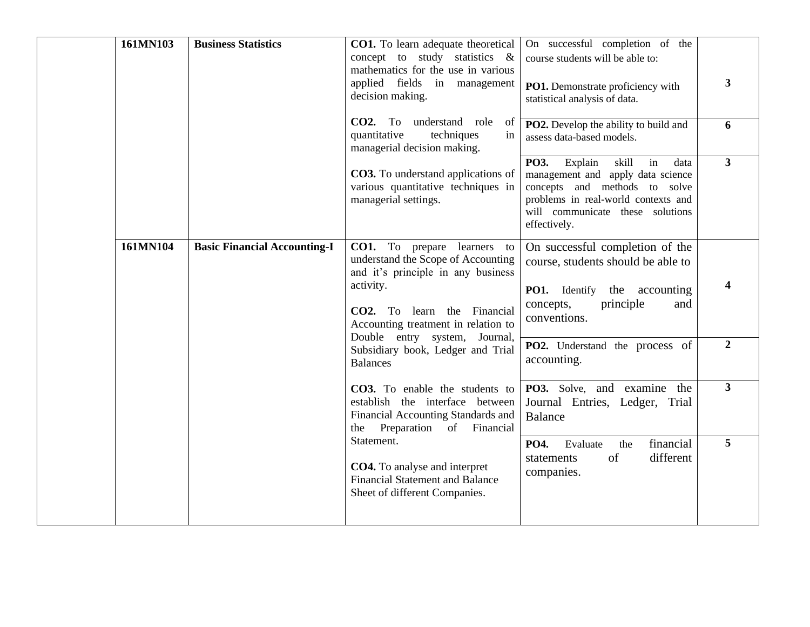| 161MN103 | <b>Business Statistics</b>          | <b>CO1.</b> To learn adequate theoretical<br>concept to study statistics &<br>mathematics for the use in various<br>applied fields in management<br>decision making.<br>CO2. To understand role of<br>quantitative<br>techniques<br>in | On successful completion of the<br>course students will be able to:<br>PO1. Demonstrate proficiency with<br>statistical analysis of data.<br><b>PO2.</b> Develop the ability to build and<br>assess data-based models. | 3<br>6           |
|----------|-------------------------------------|----------------------------------------------------------------------------------------------------------------------------------------------------------------------------------------------------------------------------------------|------------------------------------------------------------------------------------------------------------------------------------------------------------------------------------------------------------------------|------------------|
|          |                                     | managerial decision making.<br><b>CO3.</b> To understand applications of<br>various quantitative techniques in<br>managerial settings.                                                                                                 | PO3. Explain<br>skill in<br>data<br>management and apply data science<br>concepts and methods to solve<br>problems in real-world contexts and<br>will communicate these solutions<br>effectively.                      | $\mathbf{3}$     |
| 161MN104 | <b>Basic Financial Accounting-I</b> | CO1. To prepare<br>learners to<br>understand the Scope of Accounting<br>and it's principle in any business<br>activity.<br>CO2. To learn the Financial<br>Accounting treatment in relation to<br>Double entry system, Journal,         | On successful completion of the<br>course, students should be able to<br><b>PO1.</b> Identify the accounting<br>principle<br>concepts,<br>and<br>conventions.                                                          | 4                |
|          |                                     | Subsidiary book, Ledger and Trial<br><b>Balances</b>                                                                                                                                                                                   | PO2. Understand the process of<br>accounting.                                                                                                                                                                          | $\boldsymbol{2}$ |
|          |                                     | CO3. To enable the students to<br>establish the interface between<br>Financial Accounting Standards and<br>Preparation of Financial<br>the                                                                                             | PO3. Solve, and examine the<br>Journal Entries, Ledger, Trial<br><b>Balance</b>                                                                                                                                        | $\overline{3}$   |
|          |                                     | Statement.<br><b>CO4.</b> To analyse and interpret<br><b>Financial Statement and Balance</b><br>Sheet of different Companies.                                                                                                          | financial<br>PO4.<br>Evaluate<br>the<br>different<br>of<br>statements<br>companies.                                                                                                                                    | 5                |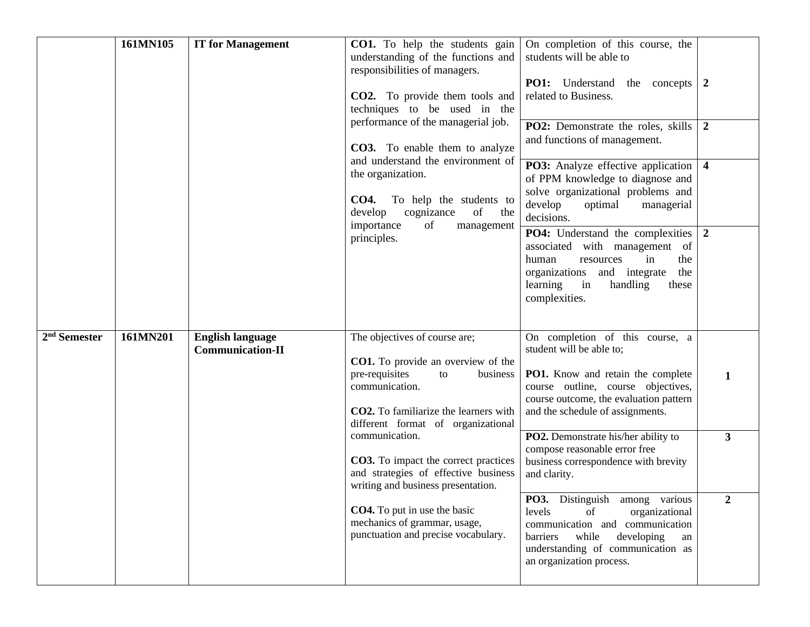|                          | 161MN105 | <b>IT for Management</b>                           | <b>CO1.</b> To help the students gain<br>understanding of the functions and<br>responsibilities of managers.<br>CO2. To provide them tools and<br>techniques to be used in the<br>performance of the managerial job.<br><b>CO3.</b> To enable them to analyze | On completion of this course, the<br>students will be able to<br><b>PO1:</b> Understand<br>the concepts $\vert 2 \vert$<br>related to Business.<br>PO2: Demonstrate the roles, skills<br>and functions of management. | $\overline{2}$          |
|--------------------------|----------|----------------------------------------------------|---------------------------------------------------------------------------------------------------------------------------------------------------------------------------------------------------------------------------------------------------------------|-----------------------------------------------------------------------------------------------------------------------------------------------------------------------------------------------------------------------|-------------------------|
|                          |          |                                                    | and understand the environment of<br>the organization.<br><b>CO4.</b><br>To help the students to<br>develop<br>of<br>cognizance<br>the<br>importance<br>of<br>management                                                                                      | PO3: Analyze effective application<br>of PPM knowledge to diagnose and<br>solve organizational problems and<br>develop<br>optimal<br>managerial<br>decisions.                                                         | $\overline{\mathbf{4}}$ |
|                          |          |                                                    | principles.                                                                                                                                                                                                                                                   | PO4: Understand the complexities<br>associated with management<br>of<br>in<br>human<br>the<br>resources<br>organizations<br>and integrate<br>the<br>learning<br>in<br>handling<br>these<br>complexities.              | $\overline{2}$          |
| 2 <sup>nd</sup> Semester | 161MN201 | <b>English language</b><br><b>Communication-II</b> | The objectives of course are;<br><b>CO1.</b> To provide an overview of the<br>pre-requisites<br>business<br>to<br>communication.<br><b>CO2.</b> To familiarize the learners with<br>different format of organizational                                        | On completion of this course, a<br>student will be able to;<br>PO1. Know and retain the complete<br>course outline, course objectives,<br>course outcome, the evaluation pattern<br>and the schedule of assignments.  | $\mathbf{1}$            |
|                          |          |                                                    | communication.<br><b>CO3.</b> To impact the correct practices<br>and strategies of effective business<br>writing and business presentation.                                                                                                                   | PO2. Demonstrate his/her ability to<br>compose reasonable error free<br>business correspondence with brevity<br>and clarity.                                                                                          | 3                       |
|                          |          |                                                    | <b>CO4.</b> To put in use the basic<br>mechanics of grammar, usage,<br>punctuation and precise vocabulary.                                                                                                                                                    | PO3. Distinguish among various<br>levels<br>of<br>organizational<br>communication and communication<br>barriers<br>while<br>developing<br>an<br>understanding of communication as<br>an organization process.         | $\boldsymbol{2}$        |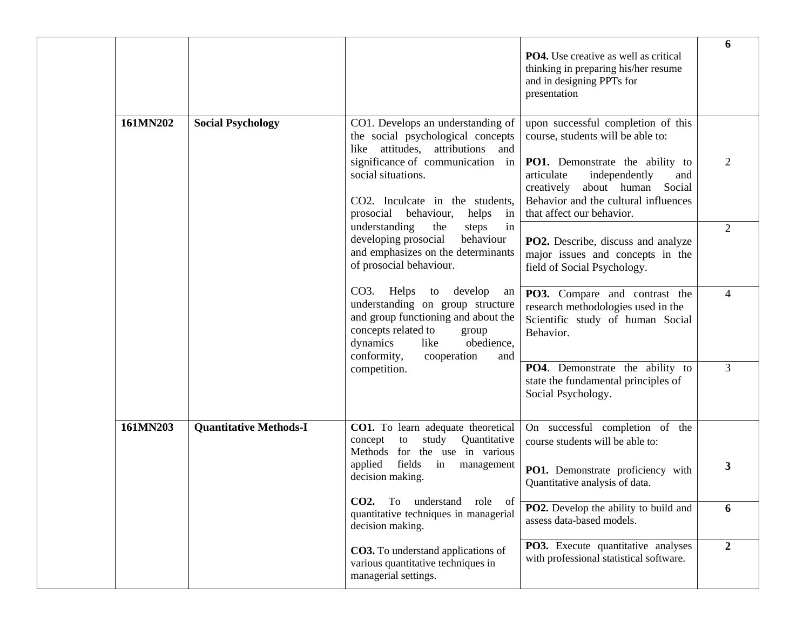|          |                               |                                                                                                                                                                                                               | <b>PO4.</b> Use creative as well as critical<br>thinking in preparing his/her resume<br>and in designing PPTs for<br>presentation                                              | 6              |
|----------|-------------------------------|---------------------------------------------------------------------------------------------------------------------------------------------------------------------------------------------------------------|--------------------------------------------------------------------------------------------------------------------------------------------------------------------------------|----------------|
| 161MN202 | <b>Social Psychology</b>      | CO1. Develops an understanding of<br>the social psychological concepts<br>attitudes, attributions and<br>like                                                                                                 | upon successful completion of this<br>course, students will be able to:                                                                                                        |                |
|          |                               | significance of communication in<br>social situations.<br>CO2. Inculcate in the students,<br>prosocial behaviour,<br>helps<br>in                                                                              | PO1. Demonstrate the ability to<br>articulate<br>independently<br>and<br>about human Social<br>creatively<br>Behavior and the cultural influences<br>that affect our behavior. | 2              |
|          |                               | understanding<br>in<br>the<br>steps<br>developing prosocial<br>behaviour<br>and emphasizes on the determinants<br>of prosocial behaviour.                                                                     | <b>PO2.</b> Describe, discuss and analyze<br>major issues and concepts in the<br>field of Social Psychology.                                                                   | 2              |
|          |                               | CO3. Helps to develop<br>an<br>understanding on group structure<br>and group functioning and about the<br>concepts related to<br>group<br>dynamics<br>obedience,<br>like<br>conformity,<br>cooperation<br>and | PO3. Compare and contrast the<br>research methodologies used in the<br>Scientific study of human Social<br>Behavior.                                                           | $\overline{4}$ |
|          |                               | competition.                                                                                                                                                                                                  | PO4. Demonstrate the ability to<br>state the fundamental principles of<br>Social Psychology.                                                                                   | 3              |
| 161MN203 | <b>Quantitative Methods-I</b> | CO1. To learn adequate theoretical<br>concept<br>to<br>study<br>Quantitative<br>Methods for the use in various                                                                                                | On successful completion of the<br>course students will be able to:                                                                                                            |                |
|          |                               | fields<br>applied<br>in<br>management<br>decision making.                                                                                                                                                     | PO1. Demonstrate proficiency with<br>Quantitative analysis of data.                                                                                                            | 3              |
|          |                               | CO2. To understand<br>role of<br>quantitative techniques in managerial<br>decision making.                                                                                                                    | PO2. Develop the ability to build and<br>assess data-based models.                                                                                                             | 6              |
|          |                               | CO3. To understand applications of<br>various quantitative techniques in<br>managerial settings.                                                                                                              | PO3. Execute quantitative analyses<br>with professional statistical software.                                                                                                  | $\overline{2}$ |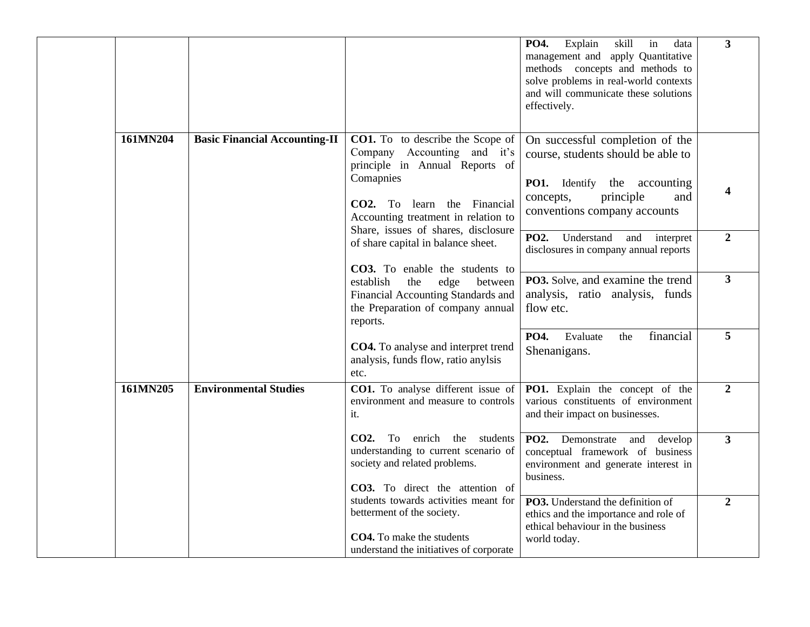|          |                                      |                                                                                                                                              | Explain<br>skill<br>PO4.<br>in<br>data<br>management and apply Quantitative<br>methods concepts and methods to<br>solve problems in real-world contexts<br>and will communicate these solutions<br>effectively. | $\mathbf{3}$            |
|----------|--------------------------------------|----------------------------------------------------------------------------------------------------------------------------------------------|-----------------------------------------------------------------------------------------------------------------------------------------------------------------------------------------------------------------|-------------------------|
| 161MN204 | <b>Basic Financial Accounting-II</b> | <b>CO1.</b> To to describe the Scope of<br>Company Accounting and it's<br>principle in Annual Reports of                                     | On successful completion of the<br>course, students should be able to                                                                                                                                           |                         |
|          |                                      | Comapnies<br>CO2. To learn the Financial<br>Accounting treatment in relation to<br>Share, issues of shares, disclosure                       | <b>PO1.</b> Identify the accounting<br>principle<br>concepts,<br>and<br>conventions company accounts                                                                                                            | 4                       |
|          |                                      | of share capital in balance sheet.<br>CO3. To enable the students to                                                                         | <b>PO2.</b><br>Understand<br>and interpret<br>disclosures in company annual reports                                                                                                                             | $\overline{2}$          |
|          |                                      | establish<br>the<br>edge<br>between<br>Financial Accounting Standards and<br>the Preparation of company annual<br>reports.                   | PO3. Solve, and examine the trend<br>analysis, ratio analysis, funds<br>flow etc.                                                                                                                               | $\overline{\mathbf{3}}$ |
|          |                                      | CO4. To analyse and interpret trend<br>analysis, funds flow, ratio anylsis<br>etc.                                                           | financial<br><b>PO4.</b><br>Evaluate<br>the<br>Shenanigans.                                                                                                                                                     | 5                       |
| 161MN205 | <b>Environmental Studies</b>         | CO1. To analyse different issue of<br>environment and measure to controls<br>it.                                                             | PO1. Explain the concept of the<br>various constituents of environment<br>and their impact on businesses.                                                                                                       | $\overline{2}$          |
|          |                                      | enrich the students<br>$CO2.$ To<br>understanding to current scenario of<br>society and related problems.<br>CO3. To direct the attention of | PO2. Demonstrate<br>and<br>develop<br>conceptual framework of business<br>environment and generate interest in<br>business.                                                                                     | $\overline{\mathbf{3}}$ |
|          |                                      | students towards activities meant for<br>betterment of the society.<br>CO4. To make the students<br>understand the initiatives of corporate  | PO3. Understand the definition of<br>ethics and the importance and role of<br>ethical behaviour in the business<br>world today.                                                                                 | $\boldsymbol{2}$        |
|          |                                      |                                                                                                                                              |                                                                                                                                                                                                                 |                         |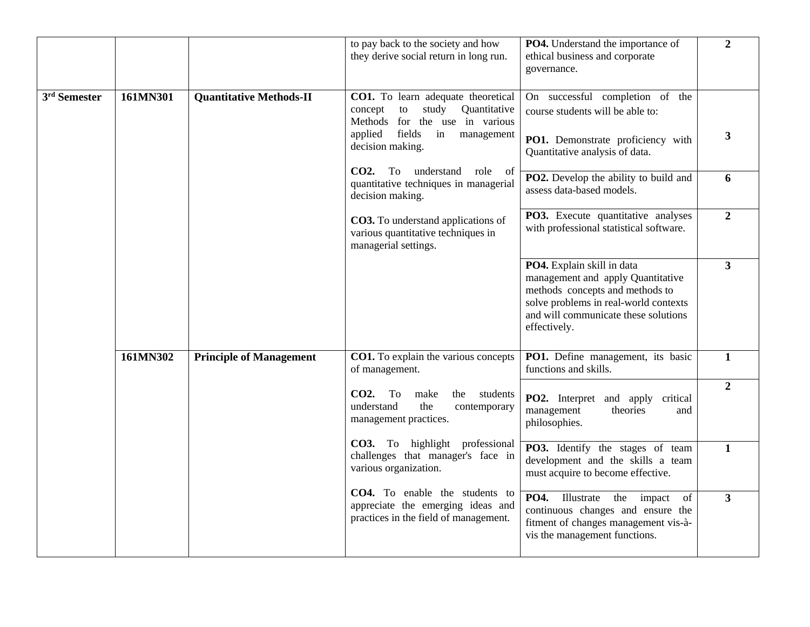|                          |          |                                | to pay back to the society and how<br>they derive social return in long run.                                                                                             | PO4. Understand the importance of<br>ethical business and corporate<br>governance.                                                                                                                  | $\overline{2}$ |
|--------------------------|----------|--------------------------------|--------------------------------------------------------------------------------------------------------------------------------------------------------------------------|-----------------------------------------------------------------------------------------------------------------------------------------------------------------------------------------------------|----------------|
| 3 <sup>rd</sup> Semester | 161MN301 | <b>Quantitative Methods-II</b> | CO1. To learn adequate theoretical<br>study<br>concept<br>to<br>Quantitative<br>Methods for the use in various<br>fields in<br>applied<br>management<br>decision making. | On successful completion of the<br>course students will be able to:<br>PO1. Demonstrate proficiency with<br>Quantitative analysis of data.                                                          | 3              |
|                          |          |                                | CO2. To understand role of<br>quantitative techniques in managerial<br>decision making.                                                                                  | PO2. Develop the ability to build and<br>assess data-based models.                                                                                                                                  | 6              |
|                          |          |                                | <b>CO3.</b> To understand applications of<br>various quantitative techniques in<br>managerial settings.                                                                  | PO3. Execute quantitative analyses<br>with professional statistical software.                                                                                                                       | $\overline{2}$ |
|                          |          |                                |                                                                                                                                                                          | PO4. Explain skill in data<br>management and apply Quantitative<br>methods concepts and methods to<br>solve problems in real-world contexts<br>and will communicate these solutions<br>effectively. | $\overline{3}$ |
|                          | 161MN302 | <b>Principle of Management</b> | <b>CO1.</b> To explain the various concepts<br>of management.                                                                                                            | PO1. Define management, its basic<br>functions and skills.                                                                                                                                          | $\mathbf{1}$   |
|                          |          |                                | CO2. To<br>make<br>the<br>students<br>understand<br>the<br>contemporary<br>management practices.                                                                         | <b>PO2.</b> Interpret and apply<br>critical<br>management<br>theories<br>and<br>philosophies.                                                                                                       | $\overline{2}$ |
|                          |          |                                | CO3. To highlight professional<br>challenges that manager's face in<br>various organization.                                                                             | PO3. Identify the stages of team<br>development and the skills a team<br>must acquire to become effective.                                                                                          | $\mathbf{1}$   |
|                          |          |                                | CO4. To enable the students to<br>appreciate the emerging ideas and<br>practices in the field of management.                                                             | PO4. Illustrate the<br>impact<br>of<br>continuous changes and ensure the<br>fitment of changes management vis-à-<br>vis the management functions.                                                   | 3 <sup>1</sup> |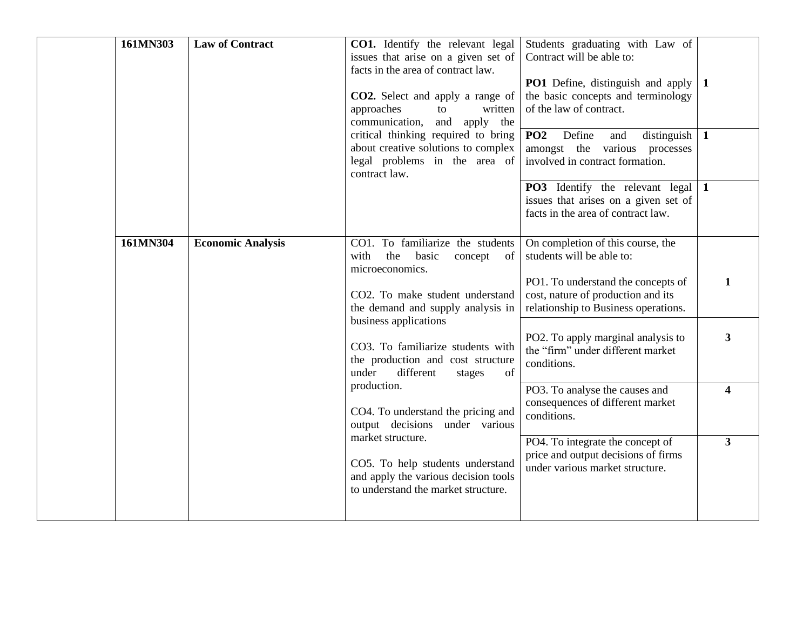| 161MN303 | <b>Law of Contract</b>   | <b>CO1.</b> Identify the relevant legal<br>issues that arise on a given set of<br>facts in the area of contract law.<br><b>CO2.</b> Select and apply a range of<br>approaches<br>to<br>written<br>communication, and apply the<br>critical thinking required to bring<br>about creative solutions to complex<br>legal problems in the area of<br>contract law. | Students graduating with Law of<br>Contract will be able to:<br>PO1 Define, distinguish and apply<br>the basic concepts and terminology<br>of the law of contract.<br>PO <sub>2</sub><br>Define<br>distinguish<br>and<br>amongst the various processes<br>involved in contract formation.<br><b>PO3</b> Identify the relevant legal 1<br>issues that arises on a given set of<br>facts in the area of contract law. | $\mathbf{1}$<br>$\mathbf{1}$                       |
|----------|--------------------------|----------------------------------------------------------------------------------------------------------------------------------------------------------------------------------------------------------------------------------------------------------------------------------------------------------------------------------------------------------------|---------------------------------------------------------------------------------------------------------------------------------------------------------------------------------------------------------------------------------------------------------------------------------------------------------------------------------------------------------------------------------------------------------------------|----------------------------------------------------|
| 161MN304 | <b>Economic Analysis</b> | CO1. To familiarize the students<br>with<br>the<br>basic<br>of<br>concept<br>microeconomics.<br>CO2. To make student understand<br>the demand and supply analysis in<br>business applications<br>CO3. To familiarize students with<br>the production and cost structure<br>under<br>different<br>of<br>stages                                                  | On completion of this course, the<br>students will be able to:<br>PO1. To understand the concepts of<br>cost, nature of production and its<br>relationship to Business operations.<br>PO2. To apply marginal analysis to<br>the "firm" under different market<br>conditions.                                                                                                                                        | 1<br>3                                             |
|          |                          | production.<br>CO4. To understand the pricing and<br>output decisions under various<br>market structure.<br>CO5. To help students understand<br>and apply the various decision tools<br>to understand the market structure.                                                                                                                                    | PO3. To analyse the causes and<br>consequences of different market<br>conditions.<br>PO4. To integrate the concept of<br>price and output decisions of firms<br>under various market structure.                                                                                                                                                                                                                     | $\overline{\mathbf{4}}$<br>$\overline{\mathbf{3}}$ |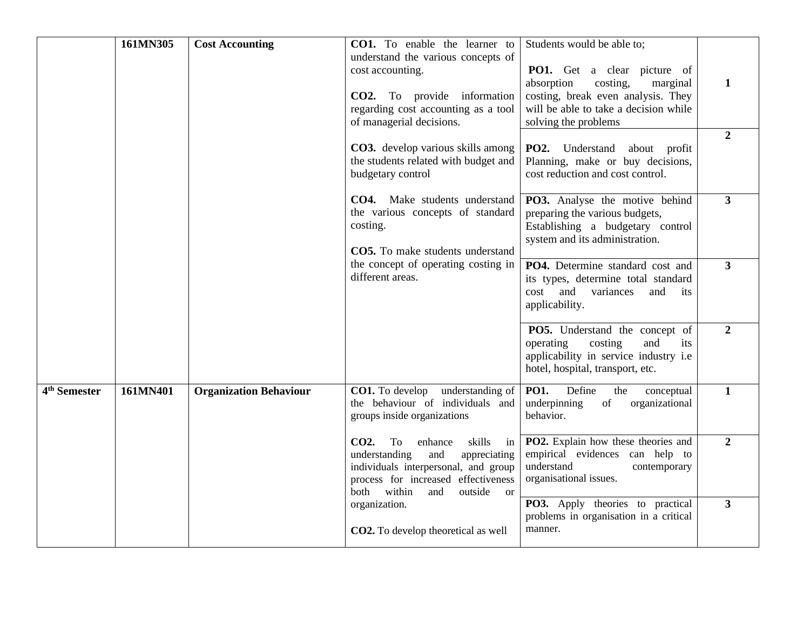|                          | 161MN305 | <b>Cost Accounting</b>        | CO1. To enable the learner to<br>understand the various concepts of<br>cost accounting.<br><b>CO2.</b> To provide information<br>regarding cost accounting as a tool<br>of managerial decisions.<br>CO3. develop various skills among<br>the students related with budget and<br>budgetary control | Students would be able to;<br><b>PO1.</b> Get a clear picture of<br>absorption<br>costing,<br>marginal<br>costing, break even analysis. They<br>will be able to take a decision while<br>solving the problems<br>PO2. Understand about profit<br>Planning, make or buy decisions,<br>cost reduction and cost control. | 1<br>$\overline{2}$ |
|--------------------------|----------|-------------------------------|----------------------------------------------------------------------------------------------------------------------------------------------------------------------------------------------------------------------------------------------------------------------------------------------------|-----------------------------------------------------------------------------------------------------------------------------------------------------------------------------------------------------------------------------------------------------------------------------------------------------------------------|---------------------|
|                          |          |                               | CO4. Make students understand<br>the various concepts of standard<br>costing.<br>CO5. To make students understand                                                                                                                                                                                  | PO3. Analyse the motive behind<br>preparing the various budgets,<br>Establishing a budgetary control<br>system and its administration.                                                                                                                                                                                | $\mathbf{3}$        |
|                          |          |                               | the concept of operating costing in<br>different areas.                                                                                                                                                                                                                                            | PO4. Determine standard cost and<br>its types, determine total standard<br>cost<br>and variances<br>and<br>its<br>applicability.                                                                                                                                                                                      | $\mathbf{3}$        |
|                          |          |                               |                                                                                                                                                                                                                                                                                                    | PO5. Understand the concept of<br>operating<br>costing<br>and<br>its<br>applicability in service industry i.e<br>hotel, hospital, transport, etc.                                                                                                                                                                     | $\overline{2}$      |
| 4 <sup>th</sup> Semester | 161MN401 | <b>Organization Behaviour</b> | CO1. To develop<br>understanding of<br>the behaviour of individuals and<br>groups inside organizations                                                                                                                                                                                             | <b>PO1.</b><br>Define<br>conceptual<br>the<br>underpinning<br>organizational<br>of<br>behavior.                                                                                                                                                                                                                       | $\mathbf{1}$        |
|                          |          |                               | CO <sub>2</sub> .<br>To<br>enhance<br>skills<br>in<br>understanding<br>appreciating<br>and<br>individuals interpersonal, and group<br>process for increased effectiveness<br>within<br>both<br>outside or<br>and                                                                                   | PO2. Explain how these theories and<br>empirical evidences can help to<br>understand<br>contemporary<br>organisational issues.                                                                                                                                                                                        | $\overline{2}$      |
|                          |          |                               | organization.<br><b>CO2.</b> To develop theoretical as well                                                                                                                                                                                                                                        | PO3. Apply theories to practical<br>problems in organisation in a critical<br>manner.                                                                                                                                                                                                                                 | $\mathbf{3}$        |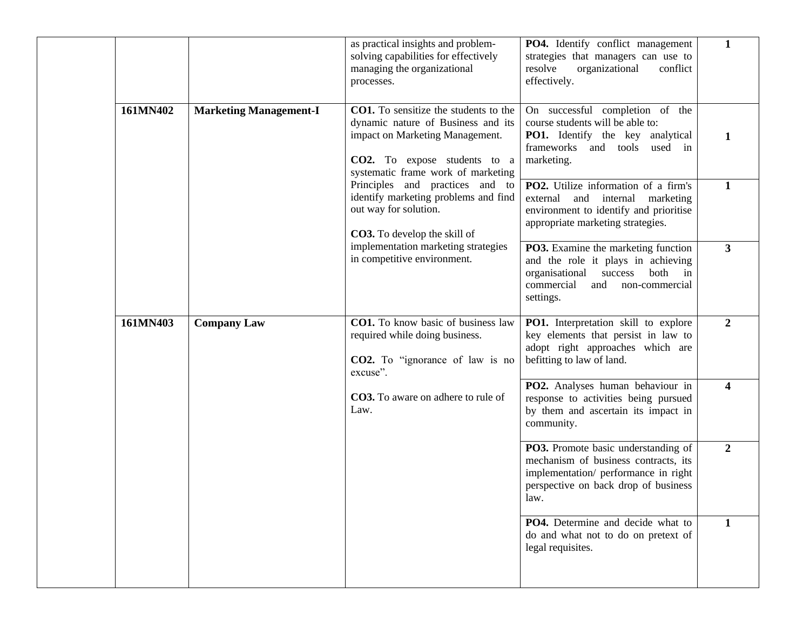| $\mathbf{1}$<br>as practical insights and problem-<br>PO4. Identify conflict management<br>strategies that managers can use to<br>solving capabilities for effectively<br>managing the organizational<br>resolve<br>organizational<br>conflict<br>effectively.<br>processes.<br>CO1. To sensitize the students to the<br>161MN402<br>On successful completion of the<br><b>Marketing Management-I</b><br>dynamic nature of Business and its<br>course students will be able to:<br>impact on Marketing Management.<br><b>PO1.</b> Identify the key analytical<br>1<br>frameworks<br>and tools<br>used<br>in<br>CO2. To expose students to a<br>marketing.<br>systematic frame work of marketing<br>Principles and practices and to<br>PO2. Utilize information of a firm's<br>$\mathbf{1}$<br>identify marketing problems and find<br>external and internal<br>marketing<br>out way for solution.<br>environment to identify and prioritise<br>appropriate marketing strategies.<br>CO3. To develop the skill of<br>implementation marketing strategies<br>$3^{\circ}$<br>PO3. Examine the marketing function<br>in competitive environment.<br>and the role it plays in achieving<br>success<br>both in<br>organisational<br>commercial<br>and non-commercial<br>settings.<br>161MN403<br><b>CO1.</b> To know basic of business law<br>$\overline{2}$<br><b>Company Law</b><br>PO1. Interpretation skill to explore<br>key elements that persist in law to<br>required while doing business.<br>adopt right approaches which are<br>befitting to law of land.<br><b>CO2.</b> To "ignorance of law is no<br>excuse".<br>PO2. Analyses human behaviour in<br>$\overline{\mathbf{4}}$<br><b>CO3.</b> To aware on adhere to rule of<br>response to activities being pursued<br>Law.<br>by them and ascertain its impact in<br>community.<br>$\boldsymbol{2}$<br>PO3. Promote basic understanding of<br>mechanism of business contracts, its<br>implementation/ performance in right<br>perspective on back drop of business<br>law.<br><b>PO4.</b> Determine and decide what to<br>1<br>do and what not to do on pretext of<br>legal requisites. |  |  |  |
|-----------------------------------------------------------------------------------------------------------------------------------------------------------------------------------------------------------------------------------------------------------------------------------------------------------------------------------------------------------------------------------------------------------------------------------------------------------------------------------------------------------------------------------------------------------------------------------------------------------------------------------------------------------------------------------------------------------------------------------------------------------------------------------------------------------------------------------------------------------------------------------------------------------------------------------------------------------------------------------------------------------------------------------------------------------------------------------------------------------------------------------------------------------------------------------------------------------------------------------------------------------------------------------------------------------------------------------------------------------------------------------------------------------------------------------------------------------------------------------------------------------------------------------------------------------------------------------------------------------------------------------------------------------------------------------------------------------------------------------------------------------------------------------------------------------------------------------------------------------------------------------------------------------------------------------------------------------------------------------------------------------------------------------------------------------------------------------------------------------------------------------------------|--|--|--|
|                                                                                                                                                                                                                                                                                                                                                                                                                                                                                                                                                                                                                                                                                                                                                                                                                                                                                                                                                                                                                                                                                                                                                                                                                                                                                                                                                                                                                                                                                                                                                                                                                                                                                                                                                                                                                                                                                                                                                                                                                                                                                                                                               |  |  |  |
|                                                                                                                                                                                                                                                                                                                                                                                                                                                                                                                                                                                                                                                                                                                                                                                                                                                                                                                                                                                                                                                                                                                                                                                                                                                                                                                                                                                                                                                                                                                                                                                                                                                                                                                                                                                                                                                                                                                                                                                                                                                                                                                                               |  |  |  |
|                                                                                                                                                                                                                                                                                                                                                                                                                                                                                                                                                                                                                                                                                                                                                                                                                                                                                                                                                                                                                                                                                                                                                                                                                                                                                                                                                                                                                                                                                                                                                                                                                                                                                                                                                                                                                                                                                                                                                                                                                                                                                                                                               |  |  |  |
|                                                                                                                                                                                                                                                                                                                                                                                                                                                                                                                                                                                                                                                                                                                                                                                                                                                                                                                                                                                                                                                                                                                                                                                                                                                                                                                                                                                                                                                                                                                                                                                                                                                                                                                                                                                                                                                                                                                                                                                                                                                                                                                                               |  |  |  |
|                                                                                                                                                                                                                                                                                                                                                                                                                                                                                                                                                                                                                                                                                                                                                                                                                                                                                                                                                                                                                                                                                                                                                                                                                                                                                                                                                                                                                                                                                                                                                                                                                                                                                                                                                                                                                                                                                                                                                                                                                                                                                                                                               |  |  |  |
|                                                                                                                                                                                                                                                                                                                                                                                                                                                                                                                                                                                                                                                                                                                                                                                                                                                                                                                                                                                                                                                                                                                                                                                                                                                                                                                                                                                                                                                                                                                                                                                                                                                                                                                                                                                                                                                                                                                                                                                                                                                                                                                                               |  |  |  |
|                                                                                                                                                                                                                                                                                                                                                                                                                                                                                                                                                                                                                                                                                                                                                                                                                                                                                                                                                                                                                                                                                                                                                                                                                                                                                                                                                                                                                                                                                                                                                                                                                                                                                                                                                                                                                                                                                                                                                                                                                                                                                                                                               |  |  |  |
|                                                                                                                                                                                                                                                                                                                                                                                                                                                                                                                                                                                                                                                                                                                                                                                                                                                                                                                                                                                                                                                                                                                                                                                                                                                                                                                                                                                                                                                                                                                                                                                                                                                                                                                                                                                                                                                                                                                                                                                                                                                                                                                                               |  |  |  |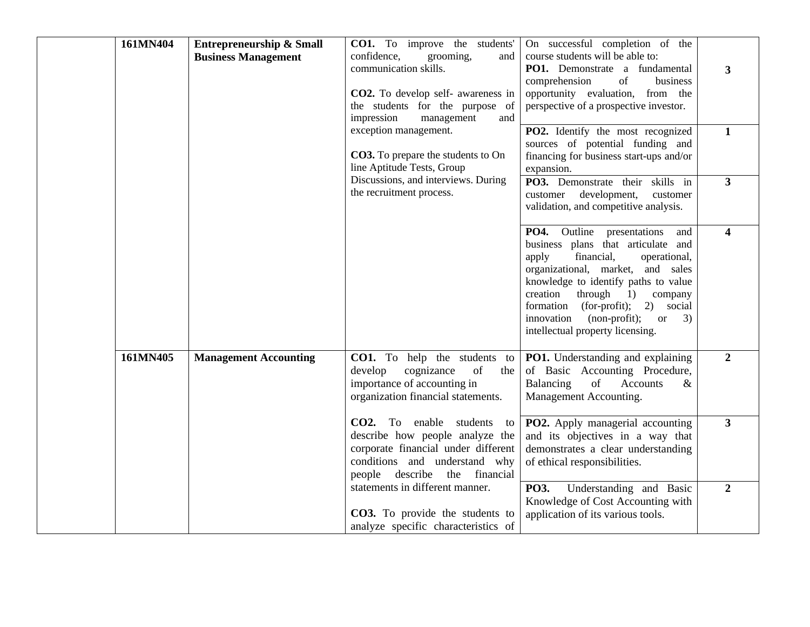| 161MN404 | <b>Entrepreneurship &amp; Small</b><br><b>Business Management</b> | <b>CO1.</b> To improve the students'<br>confidence,<br>grooming,<br>and<br>communication skills.<br>CO2. To develop self- awareness in<br>the students for the purpose of<br>impression<br>management<br>and | On successful completion of the<br>course students will be able to:<br>PO1. Demonstrate a fundamental<br>of<br>comprehension<br>business<br>opportunity evaluation, from the<br>perspective of a prospective investor.                                                                                                                                                 | 3                       |
|----------|-------------------------------------------------------------------|--------------------------------------------------------------------------------------------------------------------------------------------------------------------------------------------------------------|------------------------------------------------------------------------------------------------------------------------------------------------------------------------------------------------------------------------------------------------------------------------------------------------------------------------------------------------------------------------|-------------------------|
|          |                                                                   | exception management.<br>CO3. To prepare the students to On<br>line Aptitude Tests, Group                                                                                                                    | PO2. Identify the most recognized<br>sources of potential funding and<br>financing for business start-ups and/or<br>expansion.                                                                                                                                                                                                                                         | $\mathbf{1}$            |
|          |                                                                   | Discussions, and interviews. During<br>the recruitment process.                                                                                                                                              | PO3. Demonstrate their skills in<br>customer development,<br>customer<br>validation, and competitive analysis.                                                                                                                                                                                                                                                         | $3^{\circ}$             |
|          |                                                                   |                                                                                                                                                                                                              | <b>PO4.</b> Outline presentations<br>and<br>business plans that articulate and<br>financial,<br>apply<br>operational,<br>organizational, market, and sales<br>knowledge to identify paths to value<br>creation<br>$through \t1)$<br>company<br>formation (for-profit);<br>2) social<br>innovation (non-profit);<br>3)<br><b>or</b><br>intellectual property licensing. | $\overline{\mathbf{4}}$ |
| 161MN405 | <b>Management Accounting</b>                                      | <b>CO1.</b> To help the students to<br>develop<br>cognizance<br>of<br>the<br>importance of accounting in<br>organization financial statements.                                                               | PO1. Understanding and explaining<br>of Basic Accounting Procedure,<br>Balancing<br>of<br>Accounts<br>&<br>Management Accounting.                                                                                                                                                                                                                                      | $\overline{2}$          |
|          |                                                                   | CO2. To enable students to<br>describe how people analyze the<br>corporate financial under different<br>conditions and understand why<br>people describe the financial                                       | PO2. Apply managerial accounting<br>and its objectives in a way that<br>demonstrates a clear understanding<br>of ethical responsibilities.                                                                                                                                                                                                                             | $\overline{\mathbf{3}}$ |
|          |                                                                   | statements in different manner.<br>CO3. To provide the students to<br>analyze specific characteristics of                                                                                                    | PO3.<br>Understanding and Basic<br>Knowledge of Cost Accounting with<br>application of its various tools.                                                                                                                                                                                                                                                              | $\overline{2}$          |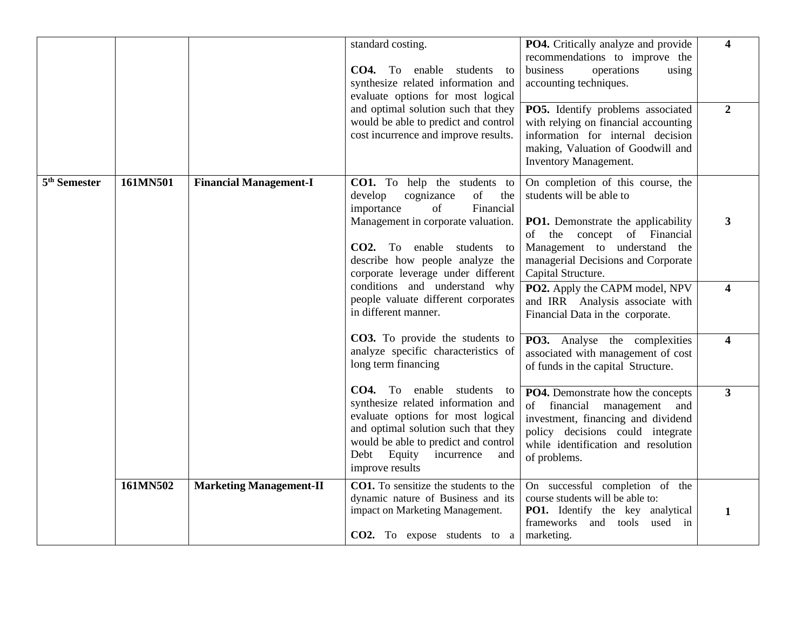|                          |          |                                | standard costing.<br><b>CO4.</b> To enable students to<br>synthesize related information and<br>evaluate options for most logical<br>and optimal solution such that they<br>would be able to predict and control<br>cost incurrence and improve results. | PO4. Critically analyze and provide<br>recommendations to improve the<br>business<br>operations<br>using<br>accounting techniques.<br>PO5. Identify problems associated<br>with relying on financial accounting<br>information for internal decision<br>making, Valuation of Goodwill and<br>Inventory Management. | $\overline{\mathbf{4}}$<br>$\overline{2}$ |
|--------------------------|----------|--------------------------------|----------------------------------------------------------------------------------------------------------------------------------------------------------------------------------------------------------------------------------------------------------|--------------------------------------------------------------------------------------------------------------------------------------------------------------------------------------------------------------------------------------------------------------------------------------------------------------------|-------------------------------------------|
| 5 <sup>th</sup> Semester | 161MN501 | <b>Financial Management-I</b>  | CO1. To help the students to<br>cognizance<br>of<br>develop<br>the<br>Financial<br>importance<br>of<br>Management in corporate valuation.<br>CO2. To enable students to<br>describe how people analyze the                                               | On completion of this course, the<br>students will be able to<br>PO1. Demonstrate the applicability<br>of the concept of Financial<br>Management to understand the<br>managerial Decisions and Corporate                                                                                                           | $\mathbf{3}$                              |
|                          |          |                                | corporate leverage under different<br>conditions and understand why<br>people valuate different corporates<br>in different manner.                                                                                                                       | Capital Structure.<br>PO2. Apply the CAPM model, NPV<br>and IRR Analysis associate with<br>Financial Data in the corporate.                                                                                                                                                                                        | $\overline{\mathbf{4}}$                   |
|                          |          |                                | CO3. To provide the students to<br>analyze specific characteristics of<br>long term financing                                                                                                                                                            | PO3. Analyse the complexities<br>associated with management of cost<br>of funds in the capital Structure.                                                                                                                                                                                                          | $\overline{\mathbf{4}}$                   |
|                          |          |                                | CO4. To enable students to<br>synthesize related information and<br>evaluate options for most logical<br>and optimal solution such that they<br>would be able to predict and control<br>Equity<br>Debt<br>incurrence<br>and<br>improve results           | PO4. Demonstrate how the concepts<br>financial<br>of<br>management<br>and<br>investment, financing and dividend<br>policy decisions could integrate<br>while identification and resolution<br>of problems.                                                                                                         | $\mathbf{3}$                              |
|                          | 161MN502 | <b>Marketing Management-II</b> | CO1. To sensitize the students to the<br>dynamic nature of Business and its<br>impact on Marketing Management.<br>CO2. To expose students to a                                                                                                           | On successful completion of the<br>course students will be able to:<br>PO1. Identify the key analytical<br>frameworks and tools<br>used in<br>marketing.                                                                                                                                                           | 1                                         |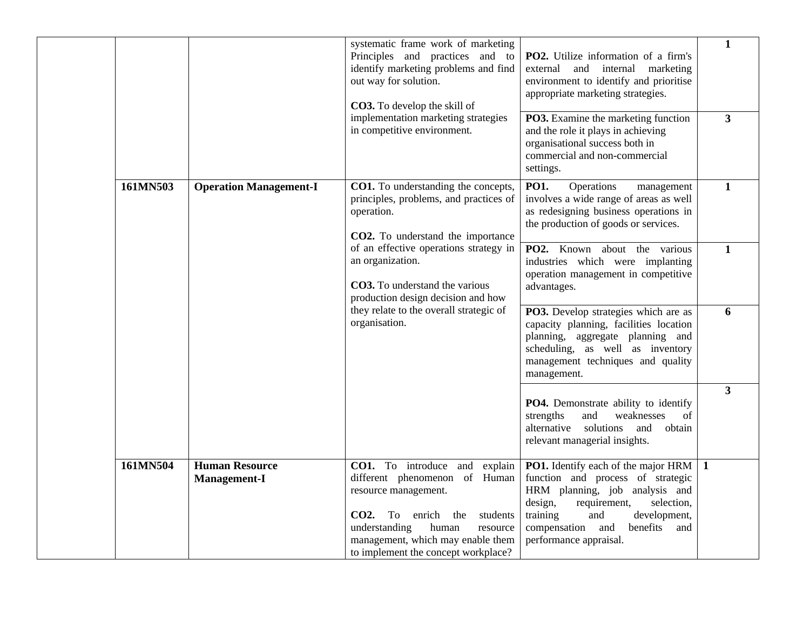|          |                                              | systematic frame work of marketing<br>Principles and practices and to<br>identify marketing problems and find<br>out way for solution.<br><b>CO3.</b> To develop the skill of<br>implementation marketing strategies<br>in competitive environment. | <b>PO2.</b> Utilize information of a firm's<br>and internal marketing<br>external<br>environment to identify and prioritise<br>appropriate marketing strategies.<br>PO3. Examine the marketing function<br>and the role it plays in achieving<br>organisational success both in<br>commercial and non-commercial<br>settings. | $\mathbf{1}$<br>$\overline{\mathbf{3}}$ |
|----------|----------------------------------------------|-----------------------------------------------------------------------------------------------------------------------------------------------------------------------------------------------------------------------------------------------------|-------------------------------------------------------------------------------------------------------------------------------------------------------------------------------------------------------------------------------------------------------------------------------------------------------------------------------|-----------------------------------------|
| 161MN503 | <b>Operation Management-I</b>                | CO1. To understanding the concepts,<br>principles, problems, and practices of<br>operation.<br>CO2. To understand the importance                                                                                                                    | <b>PO1.</b><br>Operations<br>management<br>involves a wide range of areas as well<br>as redesigning business operations in<br>the production of goods or services.                                                                                                                                                            | $\mathbf{1}$                            |
|          |                                              | of an effective operations strategy in<br>an organization.<br>CO3. To understand the various<br>production design decision and how                                                                                                                  | PO2. Known about the various<br>industries which were implanting<br>operation management in competitive<br>advantages.                                                                                                                                                                                                        | $\mathbf{1}$                            |
|          |                                              | they relate to the overall strategic of<br>organisation.                                                                                                                                                                                            | PO3. Develop strategies which are as<br>capacity planning, facilities location<br>planning, aggregate planning and<br>scheduling, as well as inventory<br>management techniques and quality<br>management.                                                                                                                    | 6                                       |
|          |                                              |                                                                                                                                                                                                                                                     | PO4. Demonstrate ability to identify<br>weaknesses<br>strengths<br>and<br>of<br>alternative solutions<br>and obtain<br>relevant managerial insights.                                                                                                                                                                          | $\overline{\mathbf{3}}$                 |
| 161MN504 | <b>Human Resource</b><br><b>Management-I</b> | CO1. To introduce and<br>explain<br>different phenomenon of Human<br>resource management.<br>CO2. To enrich<br>the<br>students<br>understanding<br>human<br>resource<br>management, which may enable them<br>to implement the concept workplace?    | <b>PO1.</b> Identify each of the major HRM 1<br>function and process of strategic<br>HRM planning, job analysis and<br>design,<br>selection,<br>requirement,<br>training<br>and<br>development,<br>compensation<br>benefits<br>and<br>and<br>performance appraisal.                                                           |                                         |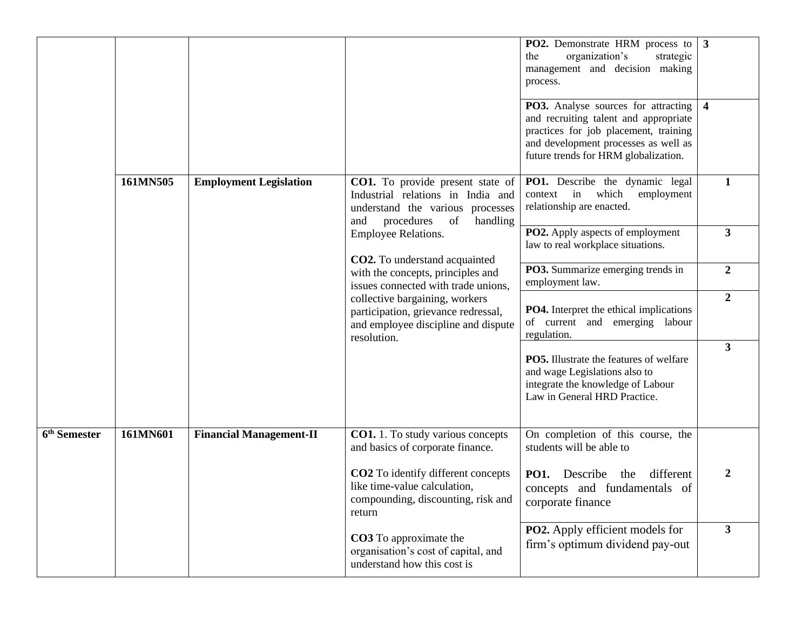|                          |          |                                |                                                                                                                                                  | PO2. Demonstrate HRM process to<br>organization's<br>strategic<br>the<br>management and decision making<br>process.<br><b>PO3.</b> Analyse sources for attracting<br>and recruiting talent and appropriate<br>practices for job placement, training<br>and development processes as well as<br>future trends for HRM globalization. | $\mathbf{3}$<br>$\overline{4}$ |
|--------------------------|----------|--------------------------------|--------------------------------------------------------------------------------------------------------------------------------------------------|-------------------------------------------------------------------------------------------------------------------------------------------------------------------------------------------------------------------------------------------------------------------------------------------------------------------------------------|--------------------------------|
|                          | 161MN505 | <b>Employment Legislation</b>  | CO1. To provide present state of<br>Industrial relations in India and<br>understand the various processes<br>procedures<br>of<br>handling<br>and | PO1. Describe the dynamic legal<br>context in<br>which<br>employment<br>relationship are enacted.                                                                                                                                                                                                                                   | $\mathbf{1}$                   |
|                          |          |                                | Employee Relations.<br>CO2. To understand acquainted                                                                                             | PO2. Apply aspects of employment<br>law to real workplace situations.                                                                                                                                                                                                                                                               | $\mathbf{3}$                   |
|                          |          |                                | with the concepts, principles and<br>issues connected with trade unions,                                                                         | PO3. Summarize emerging trends in<br>employment law.                                                                                                                                                                                                                                                                                | $\boldsymbol{2}$               |
|                          |          |                                | collective bargaining, workers<br>participation, grievance redressal,<br>and employee discipline and dispute<br>resolution.                      | <b>PO4.</b> Interpret the ethical implications<br>of current and emerging labour<br>regulation.                                                                                                                                                                                                                                     | $\boldsymbol{2}$               |
|                          |          |                                |                                                                                                                                                  | <b>PO5.</b> Illustrate the features of welfare<br>and wage Legislations also to<br>integrate the knowledge of Labour<br>Law in General HRD Practice.                                                                                                                                                                                | $\overline{\mathbf{3}}$        |
| 6 <sup>th</sup> Semester | 161MN601 | <b>Financial Management-II</b> | <b>CO1.</b> 1. To study various concepts<br>and basics of corporate finance.                                                                     | On completion of this course, the<br>students will be able to                                                                                                                                                                                                                                                                       |                                |
|                          |          |                                | CO2 To identify different concepts<br>like time-value calculation,<br>compounding, discounting, risk and<br>return                               | different<br>Describe<br><b>PO1.</b><br>the<br>concepts and fundamentals of<br>corporate finance                                                                                                                                                                                                                                    | 2                              |
|                          |          |                                | CO3 To approximate the<br>organisation's cost of capital, and<br>understand how this cost is                                                     | <b>PO2.</b> Apply efficient models for<br>firm's optimum dividend pay-out                                                                                                                                                                                                                                                           | $\mathbf{3}$                   |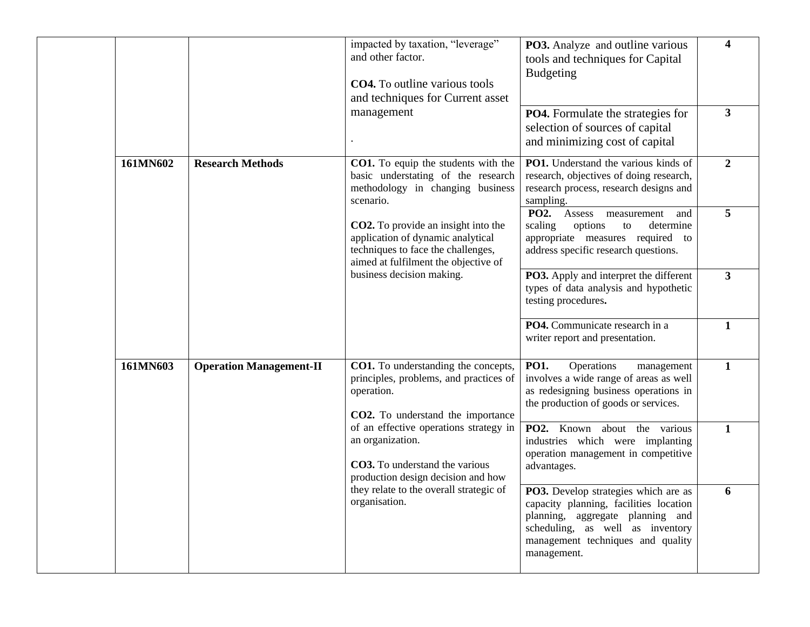|          |                                | impacted by taxation, "leverage"<br>and other factor.<br><b>CO4.</b> To outline various tools<br>and techniques for Current asset                             | <b>PO3.</b> Analyze and outline various<br>tools and techniques for Capital<br><b>Budgeting</b>                                                                                                            | 4                       |
|----------|--------------------------------|---------------------------------------------------------------------------------------------------------------------------------------------------------------|------------------------------------------------------------------------------------------------------------------------------------------------------------------------------------------------------------|-------------------------|
|          |                                | management                                                                                                                                                    | <b>PO4.</b> Formulate the strategies for<br>selection of sources of capital<br>and minimizing cost of capital                                                                                              | $\overline{\mathbf{3}}$ |
| 161MN602 | <b>Research Methods</b>        | CO1. To equip the students with the<br>basic understating of the research<br>methodology in changing business<br>scenario.                                    | PO1. Understand the various kinds of<br>research, objectives of doing research,<br>research process, research designs and<br>sampling.                                                                     | $\overline{2}$          |
|          |                                | <b>CO2.</b> To provide an insight into the<br>application of dynamic analytical<br>techniques to face the challenges,<br>aimed at fulfilment the objective of | <b>PO2.</b><br>Assess measurement<br>and<br>scaling<br>options<br>determine<br>to<br>appropriate measures required to<br>address specific research questions.                                              | 5                       |
|          |                                | business decision making.                                                                                                                                     | PO3. Apply and interpret the different<br>types of data analysis and hypothetic<br>testing procedures.                                                                                                     | $\mathbf{3}$            |
|          |                                |                                                                                                                                                               | PO4. Communicate research in a<br>writer report and presentation.                                                                                                                                          | $\mathbf{1}$            |
| 161MN603 | <b>Operation Management-II</b> | CO1. To understanding the concepts,<br>principles, problems, and practices of<br>operation.<br>CO2. To understand the importance                              | <b>PO1.</b><br>Operations<br>management<br>involves a wide range of areas as well<br>as redesigning business operations in<br>the production of goods or services.                                         | $\mathbf{1}$            |
|          |                                | of an effective operations strategy in<br>an organization.<br><b>CO3.</b> To understand the various<br>production design decision and how                     | PO2. Known about the various<br>industries which were implanting<br>operation management in competitive<br>advantages.                                                                                     | $\mathbf{1}$            |
|          |                                | they relate to the overall strategic of<br>organisation.                                                                                                      | PO3. Develop strategies which are as<br>capacity planning, facilities location<br>planning, aggregate planning and<br>scheduling, as well as inventory<br>management techniques and quality<br>management. | 6                       |
|          |                                |                                                                                                                                                               |                                                                                                                                                                                                            |                         |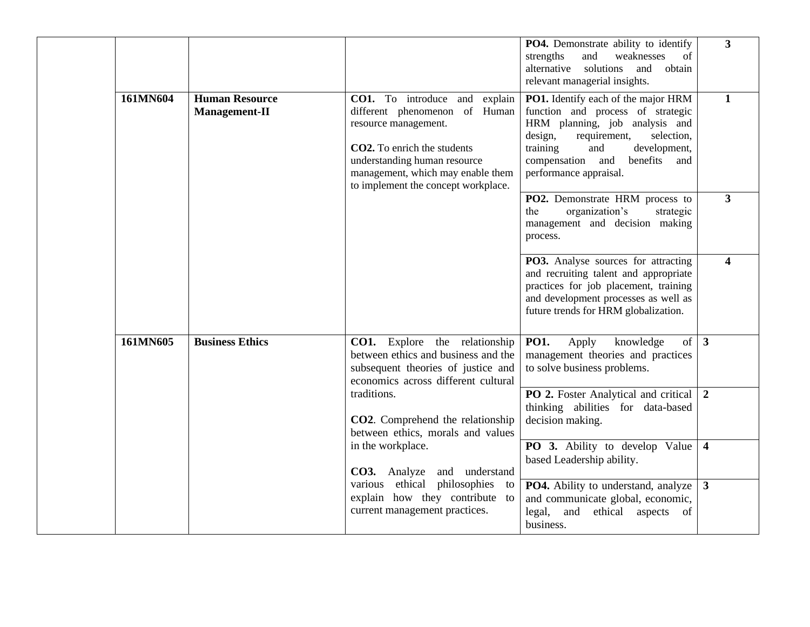|          |                                               |                                                                                                                                                                                                                                   | PO4. Demonstrate ability to identify<br>strengths<br>weaknesses<br>and<br>of<br>alternative solutions<br>obtain<br>and<br>relevant managerial insights.                                                                                                    | $\overline{\mathbf{3}}$ |
|----------|-----------------------------------------------|-----------------------------------------------------------------------------------------------------------------------------------------------------------------------------------------------------------------------------------|------------------------------------------------------------------------------------------------------------------------------------------------------------------------------------------------------------------------------------------------------------|-------------------------|
| 161MN604 | <b>Human Resource</b><br><b>Management-II</b> | CO1. To introduce and explain<br>different phenomenon of Human<br>resource management.<br>CO2. To enrich the students<br>understanding human resource<br>management, which may enable them<br>to implement the concept workplace. | PO1. Identify each of the major HRM<br>function and process of strategic<br>HRM planning, job analysis and<br>design,<br>requirement,<br>selection,<br>training<br>and<br>development,<br>compensation<br>and<br>benefits<br>and<br>performance appraisal. | $\mathbf{1}$            |
|          |                                               |                                                                                                                                                                                                                                   | PO2. Demonstrate HRM process to<br>the<br>organization's<br>strategic<br>management and decision making<br>process.                                                                                                                                        | $\mathbf{3}$            |
|          |                                               |                                                                                                                                                                                                                                   | PO3. Analyse sources for attracting<br>and recruiting talent and appropriate<br>practices for job placement, training<br>and development processes as well as<br>future trends for HRM globalization.                                                      | $\boldsymbol{\Lambda}$  |
| 161MN605 | <b>Business Ethics</b>                        | <b>CO1.</b> Explore the relationship<br>between ethics and business and the<br>subsequent theories of justice and<br>economics across different cultural                                                                          | of<br><b>PO1.</b><br>Apply<br>knowledge<br>management theories and practices<br>to solve business problems.                                                                                                                                                | $\overline{3}$          |
|          |                                               | traditions.<br>CO2. Comprehend the relationship<br>between ethics, morals and values                                                                                                                                              | PO 2. Foster Analytical and critical<br>thinking abilities for data-based<br>decision making.                                                                                                                                                              | $\overline{2}$          |
|          |                                               | in the workplace.<br>CO3. Analyze and understand                                                                                                                                                                                  | PO 3. Ability to develop Value<br>based Leadership ability.                                                                                                                                                                                                | $\overline{\mathbf{4}}$ |
|          |                                               | various ethical philosophies to<br>explain how they contribute to<br>current management practices.                                                                                                                                | PO4. Ability to understand, analyze<br>and communicate global, economic,<br>legal,<br>and<br>ethical aspects<br>of<br>business.                                                                                                                            | $\mathbf{3}$            |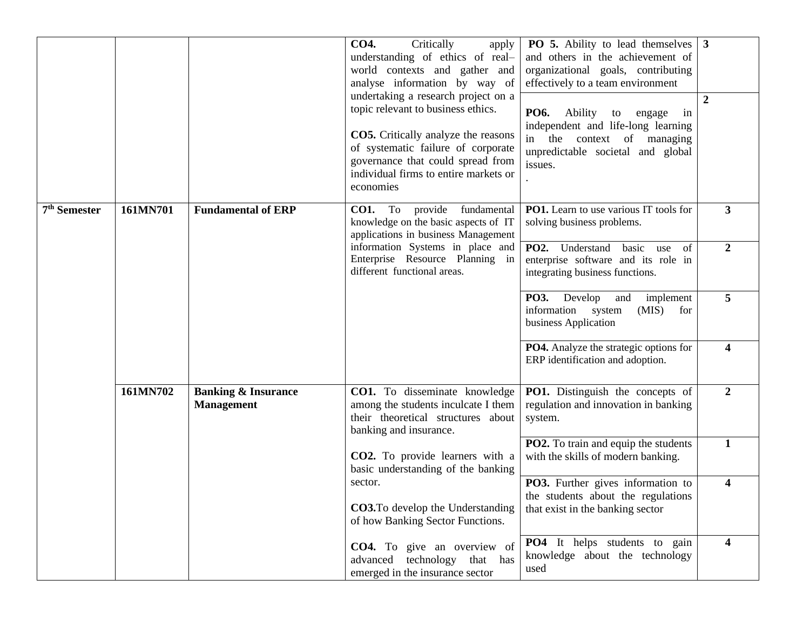|                          |          |                                                     | CO4.<br>Critically<br>apply<br>understanding of ethics of real-<br>world contexts and gather and<br>analyse information by way of<br>undertaking a research project on a<br>topic relevant to business ethics.<br><b>CO5.</b> Critically analyze the reasons<br>of systematic failure of corporate<br>governance that could spread from<br>individual firms to entire markets or<br>economies | <b>PO 5.</b> Ability to lead themselves<br>and others in the achievement of<br>organizational goals, contributing<br>effectively to a team environment<br>PO6.<br>Ability<br>to<br>engage<br>in<br>independent and life-long learning<br>in the context of managing<br>unpredictable societal and global<br>issues. | $\mathbf{3}$<br>$\boldsymbol{2}$ |
|--------------------------|----------|-----------------------------------------------------|-----------------------------------------------------------------------------------------------------------------------------------------------------------------------------------------------------------------------------------------------------------------------------------------------------------------------------------------------------------------------------------------------|---------------------------------------------------------------------------------------------------------------------------------------------------------------------------------------------------------------------------------------------------------------------------------------------------------------------|----------------------------------|
| 7 <sup>th</sup> Semester | 161MN701 | <b>Fundamental of ERP</b>                           | fundamental<br><b>CO1.</b> To provide<br>knowledge on the basic aspects of IT<br>applications in business Management<br>information Systems in place and                                                                                                                                                                                                                                      | <b>PO1.</b> Learn to use various IT tools for<br>solving business problems.<br>PO2. Understand<br>basic<br>of<br>use                                                                                                                                                                                                | 3<br>$\overline{2}$              |
|                          |          |                                                     | Enterprise Resource Planning in<br>different functional areas.                                                                                                                                                                                                                                                                                                                                | enterprise software and its role in<br>integrating business functions.                                                                                                                                                                                                                                              |                                  |
|                          |          |                                                     |                                                                                                                                                                                                                                                                                                                                                                                               | <b>PO3.</b><br>implement<br>Develop<br>and<br>information system<br>(MIS)<br>for<br>business Application                                                                                                                                                                                                            | 5                                |
|                          |          |                                                     |                                                                                                                                                                                                                                                                                                                                                                                               | PO4. Analyze the strategic options for<br>ERP identification and adoption.                                                                                                                                                                                                                                          | $\overline{\mathbf{4}}$          |
|                          | 161MN702 | <b>Banking &amp; Insurance</b><br><b>Management</b> | CO1. To disseminate knowledge<br>among the students inculcate I them<br>their theoretical structures about<br>banking and insurance.                                                                                                                                                                                                                                                          | PO1. Distinguish the concepts of<br>regulation and innovation in banking<br>system.                                                                                                                                                                                                                                 | $\overline{2}$                   |
|                          |          |                                                     | CO2. To provide learners with a<br>basic understanding of the banking                                                                                                                                                                                                                                                                                                                         | <b>PO2.</b> To train and equip the students<br>with the skills of modern banking.                                                                                                                                                                                                                                   | $\mathbf{1}$                     |
|                          |          |                                                     | sector.<br><b>CO3.</b> To develop the Understanding<br>of how Banking Sector Functions.                                                                                                                                                                                                                                                                                                       | PO3. Further gives information to<br>the students about the regulations<br>that exist in the banking sector                                                                                                                                                                                                         | 4                                |
|                          |          |                                                     | <b>CO4.</b> To give an overview of<br>advanced technology<br>that has<br>emerged in the insurance sector                                                                                                                                                                                                                                                                                      | PO4 It helps students to gain<br>knowledge about the technology<br>used                                                                                                                                                                                                                                             | $\overline{\mathbf{4}}$          |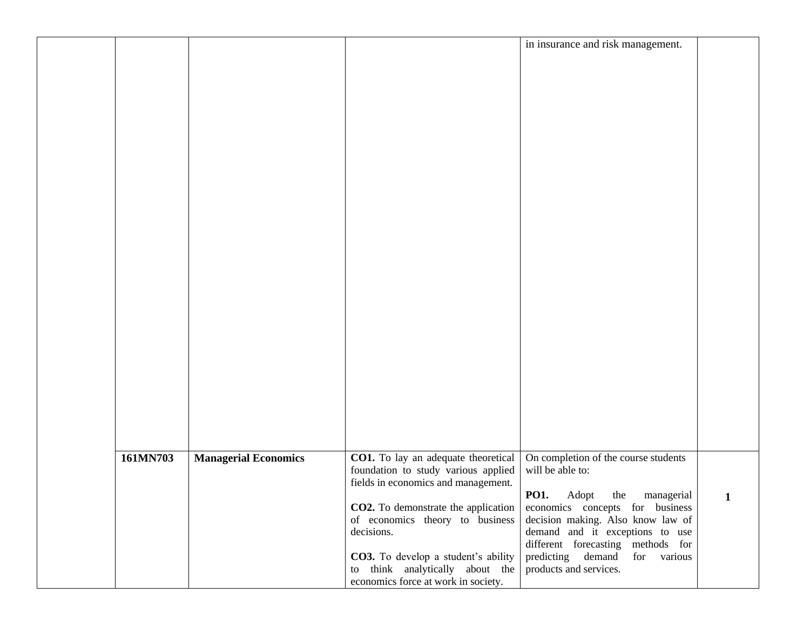|          |                             |                                     | in insurance and risk management.                                      |   |
|----------|-----------------------------|-------------------------------------|------------------------------------------------------------------------|---|
|          |                             |                                     |                                                                        |   |
|          |                             |                                     |                                                                        |   |
|          |                             |                                     |                                                                        |   |
|          |                             |                                     |                                                                        |   |
|          |                             |                                     |                                                                        |   |
|          |                             |                                     |                                                                        |   |
|          |                             |                                     |                                                                        |   |
|          |                             |                                     |                                                                        |   |
|          |                             |                                     |                                                                        |   |
|          |                             |                                     |                                                                        |   |
|          |                             |                                     |                                                                        |   |
|          |                             |                                     |                                                                        |   |
|          |                             |                                     |                                                                        |   |
|          |                             |                                     |                                                                        |   |
|          |                             |                                     |                                                                        |   |
|          |                             |                                     |                                                                        |   |
|          |                             |                                     |                                                                        |   |
|          |                             |                                     |                                                                        |   |
|          |                             |                                     |                                                                        |   |
|          |                             |                                     |                                                                        |   |
|          |                             |                                     |                                                                        |   |
|          |                             |                                     |                                                                        |   |
|          |                             |                                     |                                                                        |   |
|          |                             |                                     |                                                                        |   |
|          |                             |                                     |                                                                        |   |
|          |                             |                                     |                                                                        |   |
|          |                             |                                     |                                                                        |   |
|          |                             |                                     |                                                                        |   |
| 161MN703 | <b>Managerial Economics</b> | CO1. To lay an adequate theoretical | On completion of the course students                                   |   |
|          |                             | foundation to study various applied | will be able to:                                                       |   |
|          |                             | fields in economics and management. |                                                                        |   |
|          |                             | CO2. To demonstrate the application | <b>PO1.</b><br>Adopt the managerial<br>economics concepts for business | 1 |
|          |                             | of economics theory to business     | decision making. Also know law of                                      |   |
|          |                             | decisions.                          | demand and it exceptions to use                                        |   |
|          |                             |                                     | different forecasting methods for                                      |   |
|          |                             | CO3. To develop a student's ability | predicting demand<br>for various                                       |   |
|          |                             | to think analytically about the     | products and services.                                                 |   |
|          |                             | economics force at work in society. |                                                                        |   |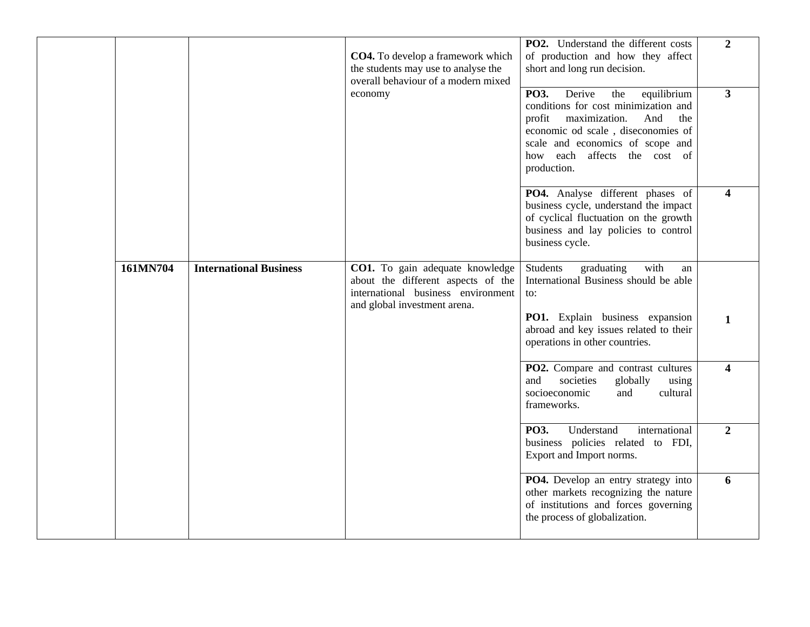| $\overline{2}$          | PO2. Understand the different costs<br>of production and how they affect<br>short and long run decision.                                                                                                                                       | CO4. To develop a framework which<br>the students may use to analyse the<br>overall behaviour of a modern mixed                             |                               |          |
|-------------------------|------------------------------------------------------------------------------------------------------------------------------------------------------------------------------------------------------------------------------------------------|---------------------------------------------------------------------------------------------------------------------------------------------|-------------------------------|----------|
| $\overline{3}$          | PO3.<br>Derive<br>the<br>equilibrium<br>conditions for cost minimization and<br>maximization.<br>And<br>profit<br>the<br>economic od scale, diseconomies of<br>scale and economics of scope and<br>how each affects the cost of<br>production. | economy                                                                                                                                     |                               |          |
| $\overline{\mathbf{4}}$ | PO4. Analyse different phases of<br>business cycle, understand the impact<br>of cyclical fluctuation on the growth<br>business and lay policies to control<br>business cycle.                                                                  |                                                                                                                                             |                               |          |
|                         | <b>Students</b><br>with<br>graduating<br>an<br>International Business should be able<br>to:                                                                                                                                                    | CO1. To gain adequate knowledge<br>about the different aspects of the<br>international business environment<br>and global investment arena. | <b>International Business</b> | 161MN704 |
| 1                       | PO1. Explain business expansion<br>abroad and key issues related to their<br>operations in other countries.                                                                                                                                    |                                                                                                                                             |                               |          |
| 4                       | PO2. Compare and contrast cultures<br>societies<br>and<br>globally<br>using<br>socioeconomic<br>and<br>cultural<br>frameworks.                                                                                                                 |                                                                                                                                             |                               |          |
| $\boldsymbol{2}$        | PO3.<br>Understand<br>international<br>business policies related to FDI,<br>Export and Import norms.                                                                                                                                           |                                                                                                                                             |                               |          |
| 6                       | PO4. Develop an entry strategy into<br>other markets recognizing the nature<br>of institutions and forces governing<br>the process of globalization.                                                                                           |                                                                                                                                             |                               |          |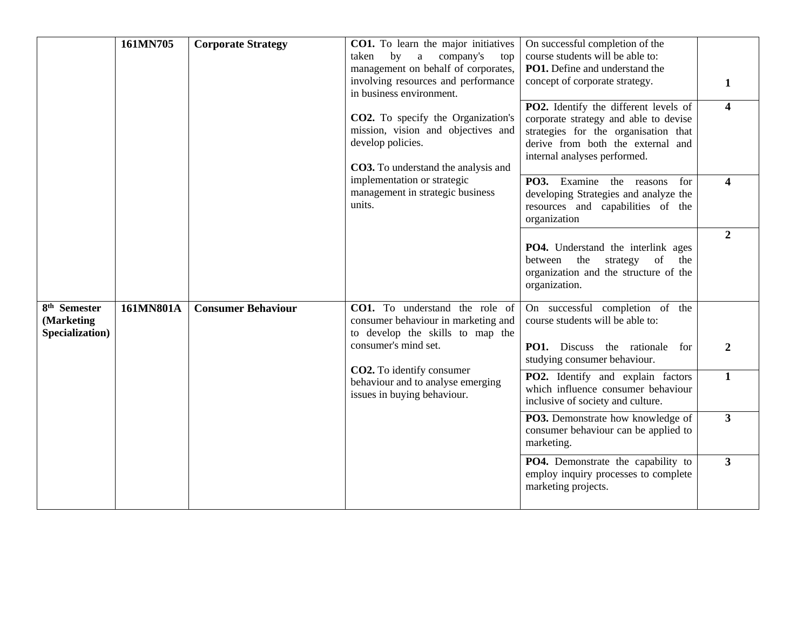|                                                           | 161MN705                                                                  | <b>Corporate Strategy</b>                                                                                                            | CO1. To learn the major initiatives<br>by<br>company's<br>taken<br>$\mathbf{a}$<br>top<br>management on behalf of corporates,<br>involving resources and performance<br>in business environment.<br><b>CO2.</b> To specify the Organization's<br>mission, vision and objectives and<br>develop policies.<br><b>CO3.</b> To understand the analysis and | On successful completion of the<br>course students will be able to:<br>PO1. Define and understand the<br>concept of corporate strategy.<br>PO2. Identify the different levels of<br>corporate strategy and able to devise<br>strategies for the organisation that<br>derive from both the external and<br>internal analyses performed. | 1<br>$\overline{\mathbf{4}}$ |
|-----------------------------------------------------------|---------------------------------------------------------------------------|--------------------------------------------------------------------------------------------------------------------------------------|--------------------------------------------------------------------------------------------------------------------------------------------------------------------------------------------------------------------------------------------------------------------------------------------------------------------------------------------------------|----------------------------------------------------------------------------------------------------------------------------------------------------------------------------------------------------------------------------------------------------------------------------------------------------------------------------------------|------------------------------|
|                                                           | implementation or strategic<br>management in strategic business<br>units. | <b>PO3.</b> Examine the reasons<br>for<br>developing Strategies and analyze the<br>resources and capabilities of the<br>organization | $\overline{\mathbf{4}}$                                                                                                                                                                                                                                                                                                                                |                                                                                                                                                                                                                                                                                                                                        |                              |
|                                                           |                                                                           |                                                                                                                                      |                                                                                                                                                                                                                                                                                                                                                        | <b>PO4.</b> Understand the interlink ages<br>the<br>strategy of<br>between<br>the<br>organization and the structure of the<br>organization.                                                                                                                                                                                            | $\overline{2}$               |
| 8 <sup>th</sup> Semester<br>(Marketing<br>Specialization) | 161MN801A                                                                 | <b>Consumer Behaviour</b>                                                                                                            | CO1. To understand the role of<br>consumer behaviour in marketing and<br>to develop the skills to map the<br>consumer's mind set.                                                                                                                                                                                                                      | On successful completion of the<br>course students will be able to:<br>PO1. Discuss the rationale for<br>studying consumer behaviour.                                                                                                                                                                                                  | $\boldsymbol{2}$             |
|                                                           |                                                                           |                                                                                                                                      | CO2. To identify consumer<br>behaviour and to analyse emerging<br>issues in buying behaviour.                                                                                                                                                                                                                                                          | PO2. Identify and explain factors<br>which influence consumer behaviour<br>inclusive of society and culture.                                                                                                                                                                                                                           | $\mathbf{1}$                 |
|                                                           |                                                                           |                                                                                                                                      |                                                                                                                                                                                                                                                                                                                                                        | PO3. Demonstrate how knowledge of<br>consumer behaviour can be applied to<br>marketing.                                                                                                                                                                                                                                                | 3 <sup>1</sup>               |
|                                                           |                                                                           |                                                                                                                                      |                                                                                                                                                                                                                                                                                                                                                        | PO4. Demonstrate the capability to<br>employ inquiry processes to complete<br>marketing projects.                                                                                                                                                                                                                                      | 3 <sup>1</sup>               |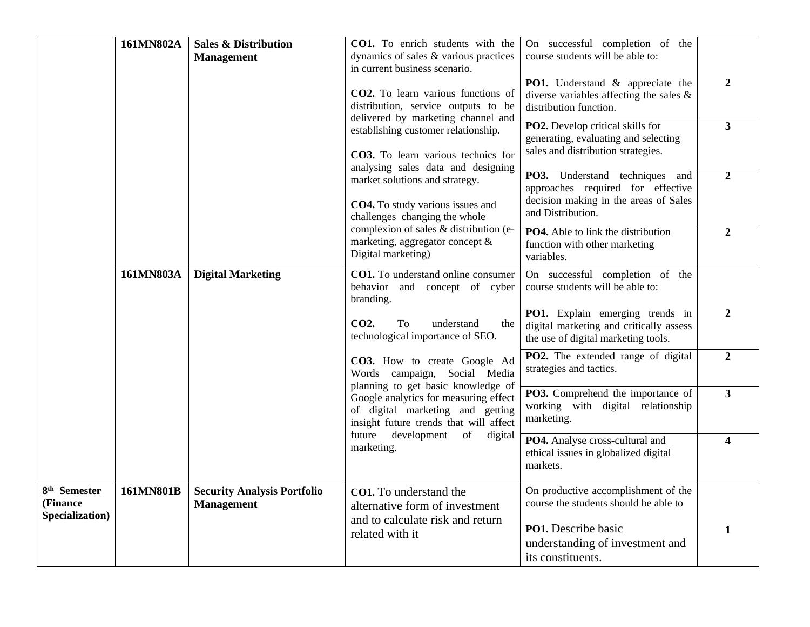|                                               | 161MN802A                                                                                                                                                 | <b>Sales &amp; Distribution</b><br><b>Management</b>                                 | CO1. To enrich students with the<br>dynamics of sales & various practices<br>in current business scenario.                                | On successful completion of the<br>course students will be able to:                                                               |                |
|-----------------------------------------------|-----------------------------------------------------------------------------------------------------------------------------------------------------------|--------------------------------------------------------------------------------------|-------------------------------------------------------------------------------------------------------------------------------------------|-----------------------------------------------------------------------------------------------------------------------------------|----------------|
|                                               |                                                                                                                                                           |                                                                                      | CO2. To learn various functions of<br>distribution, service outputs to be<br>delivered by marketing channel and                           | <b>PO1.</b> Understand & appreciate the<br>diverse variables affecting the sales $\&$<br>distribution function.                   | $\overline{2}$ |
|                                               |                                                                                                                                                           |                                                                                      | establishing customer relationship.<br>CO3. To learn various technics for                                                                 | PO2. Develop critical skills for<br>generating, evaluating and selecting<br>sales and distribution strategies.                    | $\overline{3}$ |
|                                               |                                                                                                                                                           |                                                                                      | analysing sales data and designing<br>market solutions and strategy.<br>CO4. To study various issues and<br>challenges changing the whole | PO3. Understand techniques and<br>approaches required for effective<br>decision making in the areas of Sales<br>and Distribution. | $\overline{2}$ |
|                                               |                                                                                                                                                           |                                                                                      | complexion of sales & distribution (e-<br>marketing, aggregator concept &<br>Digital marketing)                                           | PO4. Able to link the distribution<br>function with other marketing<br>variables.                                                 | $\overline{2}$ |
|                                               | 161MN803A                                                                                                                                                 | <b>Digital Marketing</b>                                                             | CO1. To understand online consumer<br>behavior and concept of cyber<br>branding.                                                          | On successful completion of the<br>course students will be able to:                                                               |                |
|                                               |                                                                                                                                                           |                                                                                      | CO <sub>2</sub> .<br>To<br>understand<br>the<br>technological importance of SEO.                                                          | PO1. Explain emerging trends in<br>digital marketing and critically assess<br>the use of digital marketing tools.                 | 2              |
|                                               |                                                                                                                                                           |                                                                                      | CO3. How to create Google Ad<br>Words campaign, Social Media                                                                              | PO2. The extended range of digital<br>strategies and tactics.                                                                     | $\overline{2}$ |
|                                               | planning to get basic knowledge of<br>Google analytics for measuring effect<br>of digital marketing and getting<br>insight future trends that will affect | PO3. Comprehend the importance of<br>working with digital relationship<br>marketing. | $\overline{\mathbf{3}}$                                                                                                                   |                                                                                                                                   |                |
|                                               |                                                                                                                                                           |                                                                                      | future<br>development<br>of<br>digital<br>marketing.                                                                                      | PO4. Analyse cross-cultural and<br>ethical issues in globalized digital<br>markets.                                               | 4              |
| $8th$ Semester<br>(Finance<br>Specialization) | 161MN801B                                                                                                                                                 | <b>Security Analysis Portfolio</b><br><b>Management</b>                              | CO1. To understand the<br>alternative form of investment                                                                                  | On productive accomplishment of the<br>course the students should be able to                                                      |                |
|                                               |                                                                                                                                                           |                                                                                      | and to calculate risk and return<br>related with it                                                                                       | PO1. Describe basic<br>understanding of investment and<br>its constituents.                                                       | $\mathbf{1}$   |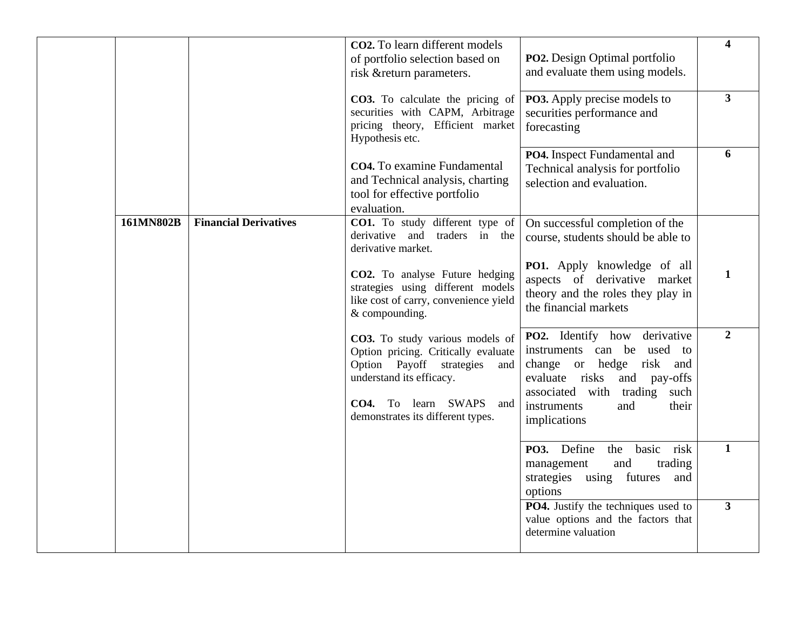|           |                              | CO2. To learn different models<br>of portfolio selection based on<br>risk &return parameters.                                                                                                            | <b>PO2.</b> Design Optimal portfolio<br>and evaluate them using models.                                                                                                                              | $\overline{\mathbf{4}}$ |
|-----------|------------------------------|----------------------------------------------------------------------------------------------------------------------------------------------------------------------------------------------------------|------------------------------------------------------------------------------------------------------------------------------------------------------------------------------------------------------|-------------------------|
|           |                              | <b>CO3.</b> To calculate the pricing of<br>securities with CAPM, Arbitrage<br>pricing theory, Efficient market<br>Hypothesis etc.                                                                        | <b>PO3.</b> Apply precise models to<br>securities performance and<br>forecasting                                                                                                                     | $\overline{\mathbf{3}}$ |
|           |                              | CO4. To examine Fundamental<br>and Technical analysis, charting<br>tool for effective portfolio<br>evaluation.                                                                                           | PO4. Inspect Fundamental and<br>Technical analysis for portfolio<br>selection and evaluation.                                                                                                        | 6                       |
| 161MN802B | <b>Financial Derivatives</b> | CO1. To study different type of<br>derivative and traders in the<br>derivative market.                                                                                                                   | On successful completion of the<br>course, students should be able to                                                                                                                                |                         |
|           |                              | CO2. To analyse Future hedging<br>strategies using different models<br>like cost of carry, convenience yield<br>& compounding.                                                                           | PO1. Apply knowledge of all<br>aspects of derivative market<br>theory and the roles they play in<br>the financial markets                                                                            | 1                       |
|           |                              | CO3. To study various models of<br>Option pricing. Critically evaluate<br>Option Payoff strategies<br>and<br>understand its efficacy.<br>CO4. To learn SWAPS<br>and<br>demonstrates its different types. | PO2. Identify how derivative<br>instruments can be used to<br>change or hedge risk and<br>evaluate risks and pay-offs<br>associated with trading such<br>instruments<br>and<br>their<br>implications | $\overline{2}$          |
|           |                              |                                                                                                                                                                                                          | basic risk<br>PO3. Define<br>the<br>and<br>trading<br>management<br>strategies using futures and<br>options                                                                                          | $\mathbf{1}$            |
|           |                              |                                                                                                                                                                                                          | PO4. Justify the techniques used to<br>value options and the factors that<br>determine valuation                                                                                                     | $\overline{\mathbf{3}}$ |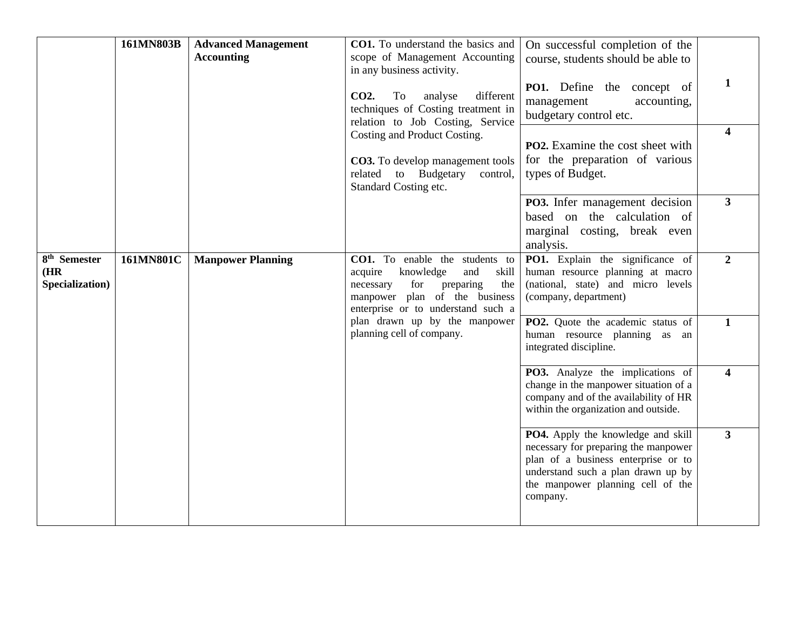|                                                     | 161MN803B | <b>Advanced Management</b><br><b>Accounting</b> | CO1. To understand the basics and<br>scope of Management Accounting<br>in any business activity.<br>CO <sub>2</sub> .<br>different<br>To<br>analyse<br>techniques of Costing treatment in<br>relation to Job Costing, Service<br>Costing and Product Costing.<br><b>CO3.</b> To develop management tools<br>to Budgetary<br>related<br>control,<br>Standard Costing etc. | On successful completion of the<br>course, students should be able to<br>PO1. Define the concept of<br>management<br>accounting,<br>budgetary control etc.<br><b>PO2.</b> Examine the cost sheet with<br>for the preparation of various<br>types of Budget. | 1<br>$\overline{\mathbf{4}}$ |
|-----------------------------------------------------|-----------|-------------------------------------------------|--------------------------------------------------------------------------------------------------------------------------------------------------------------------------------------------------------------------------------------------------------------------------------------------------------------------------------------------------------------------------|-------------------------------------------------------------------------------------------------------------------------------------------------------------------------------------------------------------------------------------------------------------|------------------------------|
|                                                     |           |                                                 |                                                                                                                                                                                                                                                                                                                                                                          | PO3. Infer management decision<br>based on the calculation of<br>marginal costing, break even<br>analysis.                                                                                                                                                  | $3^{\circ}$                  |
| 8 <sup>th</sup> Semester<br>(HR)<br>Specialization) | 161MN801C | <b>Manpower Planning</b>                        | CO1. To enable the students to<br>acquire<br>knowledge<br>and<br>skill<br>preparing<br>for<br>the<br>necessary<br>manpower plan of the business<br>enterprise or to understand such a                                                                                                                                                                                    | PO1. Explain the significance of<br>human resource planning at macro<br>(national, state) and micro levels<br>(company, department)                                                                                                                         | $\overline{2}$               |
|                                                     |           |                                                 | plan drawn up by the manpower<br>planning cell of company.                                                                                                                                                                                                                                                                                                               | PO2. Quote the academic status of<br>human resource planning as an<br>integrated discipline.                                                                                                                                                                | $\mathbf{1}$                 |
|                                                     |           |                                                 |                                                                                                                                                                                                                                                                                                                                                                          | <b>PO3.</b> Analyze the implications of<br>change in the manpower situation of a<br>company and of the availability of HR<br>within the organization and outside.                                                                                           | $\overline{\mathbf{4}}$      |
|                                                     |           |                                                 |                                                                                                                                                                                                                                                                                                                                                                          | <b>PO4.</b> Apply the knowledge and skill<br>necessary for preparing the manpower<br>plan of a business enterprise or to<br>understand such a plan drawn up by<br>the manpower planning cell of the<br>company.                                             | $3^{\circ}$                  |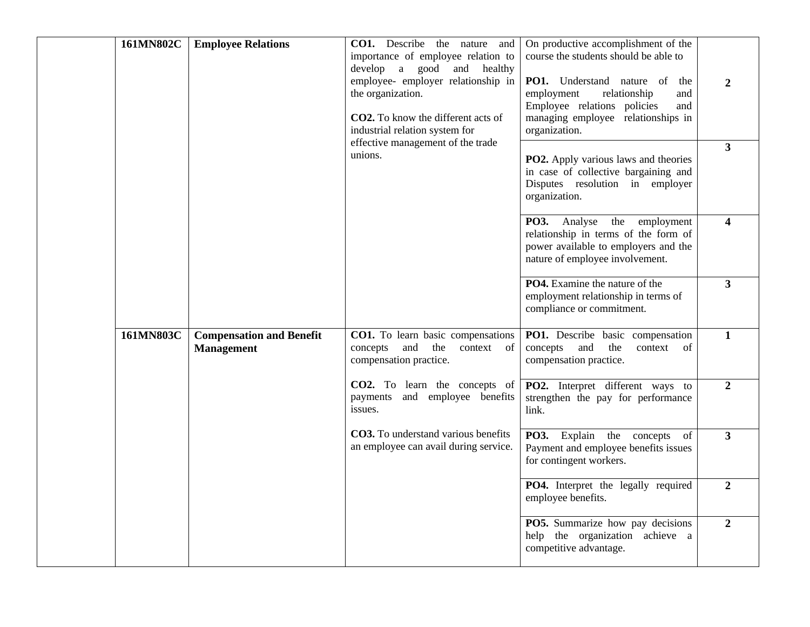| 161MN802C | <b>Employee Relations</b>                            | CO1. Describe the nature and<br>importance of employee relation to<br>develop a good and healthy<br>employee- employer relationship in<br>the organization.<br>CO2. To know the different acts of<br>industrial relation system for | On productive accomplishment of the<br>course the students should be able to<br>PO1. Understand nature of<br>the<br>employment<br>relationship<br>and<br>Employee relations policies<br>and<br>managing employee relationships in<br>organization. | $\overline{2}$          |
|-----------|------------------------------------------------------|-------------------------------------------------------------------------------------------------------------------------------------------------------------------------------------------------------------------------------------|----------------------------------------------------------------------------------------------------------------------------------------------------------------------------------------------------------------------------------------------------|-------------------------|
|           |                                                      | effective management of the trade<br>unions.                                                                                                                                                                                        | <b>PO2.</b> Apply various laws and theories<br>in case of collective bargaining and<br>Disputes resolution in employer<br>organization.                                                                                                            | $\overline{\mathbf{3}}$ |
|           |                                                      |                                                                                                                                                                                                                                     | PO3. Analyse the<br>employment<br>relationship in terms of the form of<br>power available to employers and the<br>nature of employee involvement.                                                                                                  | $\boldsymbol{4}$        |
|           |                                                      |                                                                                                                                                                                                                                     | PO4. Examine the nature of the<br>employment relationship in terms of<br>compliance or commitment.                                                                                                                                                 | 3 <sup>1</sup>          |
| 161MN803C | <b>Compensation and Benefit</b><br><b>Management</b> | CO1. To learn basic compensations<br>concepts<br>and<br>the<br>context<br>of<br>compensation practice.                                                                                                                              | PO1. Describe basic compensation<br>concepts<br>and<br>the<br>context<br>of<br>compensation practice.                                                                                                                                              | $\mathbf{1}$            |
|           |                                                      | CO2. To learn the concepts of<br>and employee benefits<br>payments<br>issues.                                                                                                                                                       | PO2. Interpret different ways to<br>strengthen the pay for performance<br>link.                                                                                                                                                                    | $\overline{2}$          |
|           |                                                      | CO3. To understand various benefits<br>an employee can avail during service.                                                                                                                                                        | PO3. Explain the concepts<br>of<br>Payment and employee benefits issues<br>for contingent workers.                                                                                                                                                 | $\overline{3}$          |
|           |                                                      |                                                                                                                                                                                                                                     | PO4. Interpret the legally required<br>employee benefits.                                                                                                                                                                                          | $\overline{2}$          |
|           |                                                      |                                                                                                                                                                                                                                     | PO5. Summarize how pay decisions<br>help the organization achieve a<br>competitive advantage.                                                                                                                                                      | $\overline{2}$          |
|           |                                                      |                                                                                                                                                                                                                                     |                                                                                                                                                                                                                                                    |                         |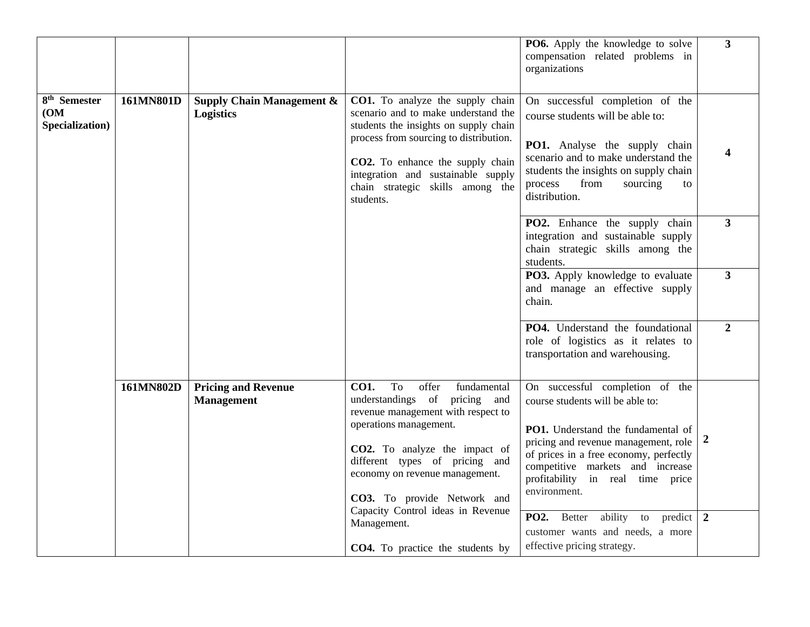|                                                     |           |                                                          |                                                                                                                                                                                                                                                                                                                           | PO6. Apply the knowledge to solve<br>compensation related problems in<br>organizations                                                                                                                                                                                              | $3^{\circ}$      |
|-----------------------------------------------------|-----------|----------------------------------------------------------|---------------------------------------------------------------------------------------------------------------------------------------------------------------------------------------------------------------------------------------------------------------------------------------------------------------------------|-------------------------------------------------------------------------------------------------------------------------------------------------------------------------------------------------------------------------------------------------------------------------------------|------------------|
| 8 <sup>th</sup> Semester<br>(OM)<br>Specialization) | 161MN801D | <b>Supply Chain Management &amp;</b><br><b>Logistics</b> | <b>CO1.</b> To analyze the supply chain<br>scenario and to make understand the<br>students the insights on supply chain<br>process from sourcing to distribution.<br>CO2. To enhance the supply chain<br>integration and sustainable supply<br>chain strategic skills among the<br>students.                              | On successful completion of the<br>course students will be able to:<br>PO1. Analyse the supply chain<br>scenario and to make understand the<br>students the insights on supply chain<br>process<br>from<br>sourcing<br>to<br>distribution.                                          | 4                |
|                                                     |           |                                                          |                                                                                                                                                                                                                                                                                                                           | <b>PO2.</b> Enhance the supply chain<br>integration and sustainable supply<br>chain strategic skills among the<br>students.                                                                                                                                                         | $\overline{3}$   |
|                                                     |           |                                                          |                                                                                                                                                                                                                                                                                                                           | PO3. Apply knowledge to evaluate<br>and manage an effective supply<br>chain.                                                                                                                                                                                                        | $\mathbf{3}$     |
|                                                     |           |                                                          |                                                                                                                                                                                                                                                                                                                           | PO4. Understand the foundational<br>role of logistics as it relates to<br>transportation and warehousing.                                                                                                                                                                           | $\overline{2}$   |
|                                                     | 161MN802D | <b>Pricing and Revenue</b><br><b>Management</b>          | To<br><b>CO1.</b><br>offer<br>fundamental<br>understandings of<br>pricing<br>and<br>revenue management with respect to<br>operations management.<br>CO2. To analyze the impact of<br>different types of pricing and<br>economy on revenue management.<br>CO3. To provide Network and<br>Capacity Control ideas in Revenue | On successful completion of the<br>course students will be able to:<br>PO1. Understand the fundamental of<br>pricing and revenue management, role<br>of prices in a free economy, perfectly<br>competitive markets and increase<br>profitability in real time price<br>environment. | $\boldsymbol{2}$ |
|                                                     |           |                                                          | Management.<br><b>CO4.</b> To practice the students by                                                                                                                                                                                                                                                                    | PO2. Better<br>ability to predict<br>customer wants and needs, a more<br>effective pricing strategy.                                                                                                                                                                                | $\overline{2}$   |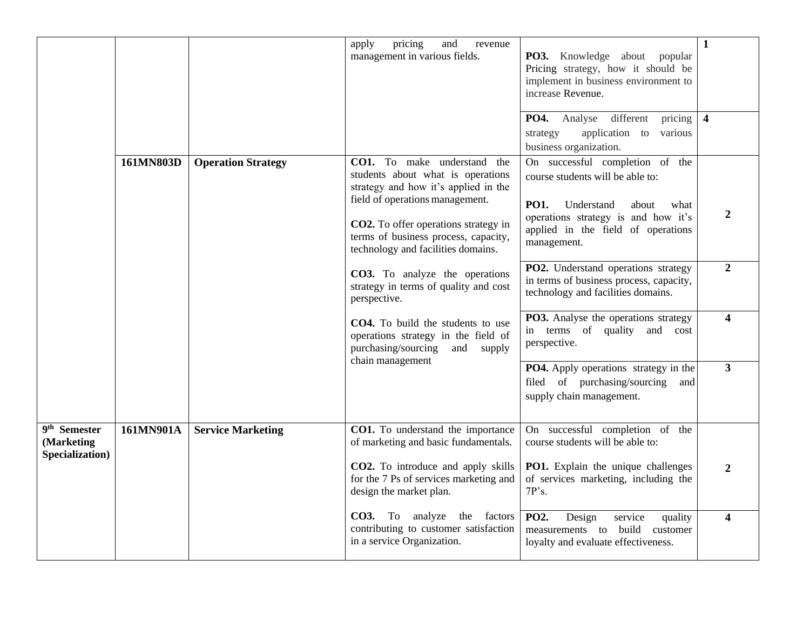|                                                           |           |                           | pricing<br>and<br>apply<br>revenue<br>management in various fields.                                                                                                                                                                                               | PO3. Knowledge about popular<br>Pricing strategy, how it should be<br>implement in business environment to<br>increase Revenue.<br>different<br><b>PO4.</b><br>Analyse<br>pricing                      | $\mathbf{1}$<br>$\overline{\mathbf{4}}$ |
|-----------------------------------------------------------|-----------|---------------------------|-------------------------------------------------------------------------------------------------------------------------------------------------------------------------------------------------------------------------------------------------------------------|--------------------------------------------------------------------------------------------------------------------------------------------------------------------------------------------------------|-----------------------------------------|
|                                                           |           |                           |                                                                                                                                                                                                                                                                   | application to<br>various<br>strategy<br>business organization.                                                                                                                                        |                                         |
|                                                           | 161MN803D | <b>Operation Strategy</b> | CO1. To make understand the<br>students about what is operations<br>strategy and how it's applied in the<br>field of operations management.<br>CO2. To offer operations strategy in<br>terms of business process, capacity,<br>technology and facilities domains. | On successful completion of the<br>course students will be able to:<br>PO1.<br>Understand<br>about<br>what<br>operations strategy is and how it's<br>applied in the field of operations<br>management. | 2                                       |
|                                                           |           |                           | CO3. To analyze the operations<br>strategy in terms of quality and cost<br>perspective.                                                                                                                                                                           | PO2. Understand operations strategy<br>in terms of business process, capacity,<br>technology and facilities domains.                                                                                   | $\overline{2}$                          |
|                                                           |           |                           | CO4. To build the students to use<br>operations strategy in the field of<br>purchasing/sourcing<br>and<br>supply<br>chain management                                                                                                                              | PO3. Analyse the operations strategy<br>terms of quality<br>and cost<br>in<br>perspective.                                                                                                             | $\overline{\mathbf{4}}$                 |
|                                                           |           |                           |                                                                                                                                                                                                                                                                   | <b>PO4.</b> Apply operations strategy in the<br>filed of purchasing/sourcing<br>and<br>supply chain management.                                                                                        | $\overline{\mathbf{3}}$                 |
| 9 <sup>th</sup> Semester<br>(Marketing<br>Specialization) | 161MN901A | <b>Service Marketing</b>  | CO1. To understand the importance<br>of marketing and basic fundamentals.                                                                                                                                                                                         | On successful completion of the<br>course students will be able to:                                                                                                                                    |                                         |
|                                                           |           |                           | CO2. To introduce and apply skills<br>for the 7 Ps of services marketing and<br>design the market plan.                                                                                                                                                           | PO1. Explain the unique challenges<br>of services marketing, including the<br>7P's.                                                                                                                    | $\mathbf{2}$                            |
|                                                           |           |                           | CO3. To analyze the factors<br>contributing to customer satisfaction<br>in a service Organization.                                                                                                                                                                | Design<br><b>PO2.</b><br>service<br>quality<br>measurements to build<br>customer<br>loyalty and evaluate effectiveness.                                                                                | $\overline{\mathbf{4}}$                 |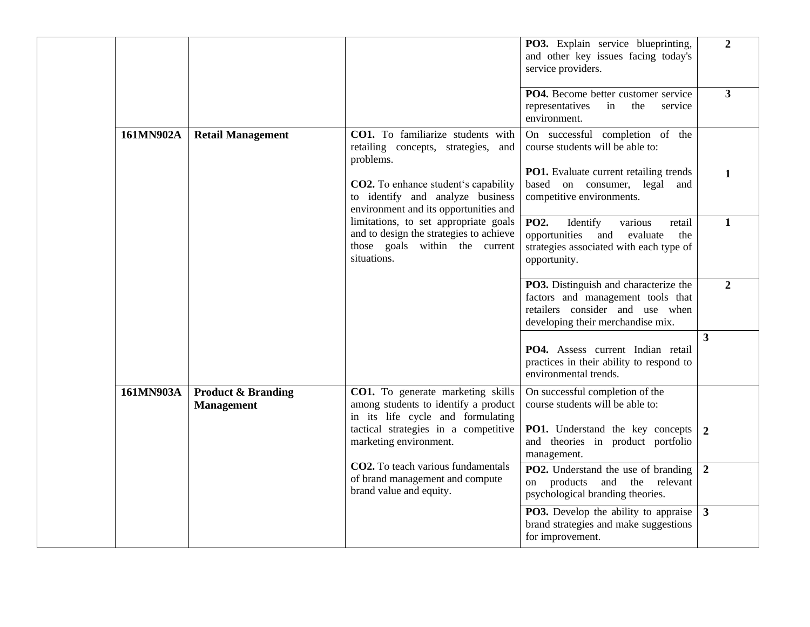|           |                                                    |                                                                                                                                   | PO3. Explain service blueprinting,<br>and other key issues facing today's<br>service providers.                                                          | $\overline{2}$          |
|-----------|----------------------------------------------------|-----------------------------------------------------------------------------------------------------------------------------------|----------------------------------------------------------------------------------------------------------------------------------------------------------|-------------------------|
|           |                                                    |                                                                                                                                   | PO4. Become better customer service<br>representatives<br>in<br>the<br>service<br>environment.                                                           | $\overline{\mathbf{3}}$ |
| 161MN902A | <b>Retail Management</b>                           | CO1. To familiarize students with<br>retailing concepts, strategies, and<br>problems.                                             | On successful completion of the<br>course students will be able to:                                                                                      |                         |
|           |                                                    | <b>CO2.</b> To enhance student's capability<br>to identify and analyze business<br>environment and its opportunities and          | <b>PO1.</b> Evaluate current retailing trends<br>based on consumer, legal and<br>competitive environments.                                               | $\mathbf{1}$            |
|           |                                                    | limitations, to set appropriate goals<br>and to design the strategies to achieve<br>those goals within the current<br>situations. | PO <sub>2</sub> .<br>Identify<br>various<br>retail<br>opportunities<br>and<br>evaluate<br>the<br>strategies associated with each type of<br>opportunity. | 1                       |
|           |                                                    |                                                                                                                                   | PO3. Distinguish and characterize the<br>factors and management tools that<br>retailers consider and use when<br>developing their merchandise mix.       | $\overline{2}$          |
|           |                                                    |                                                                                                                                   | PO4. Assess current Indian retail<br>practices in their ability to respond to<br>environmental trends.                                                   | $\mathbf{3}$            |
| 161MN903A | <b>Product &amp; Branding</b><br><b>Management</b> | CO1. To generate marketing skills<br>among students to identify a product<br>in its life cycle and formulating                    | On successful completion of the<br>course students will be able to:                                                                                      |                         |
|           |                                                    | tactical strategies in a competitive<br>marketing environment.                                                                    | <b>PO1.</b> Understand the key concepts<br>and theories in product portfolio<br>management.                                                              | $\overline{2}$          |
|           |                                                    | CO2. To teach various fundamentals<br>of brand management and compute<br>brand value and equity.                                  | <b>PO2.</b> Understand the use of branding<br>on products and the relevant<br>psychological branding theories.                                           | $\overline{2}$          |
|           |                                                    |                                                                                                                                   | <b>PO3.</b> Develop the ability to appraise<br>brand strategies and make suggestions<br>for improvement.                                                 | $\overline{\mathbf{3}}$ |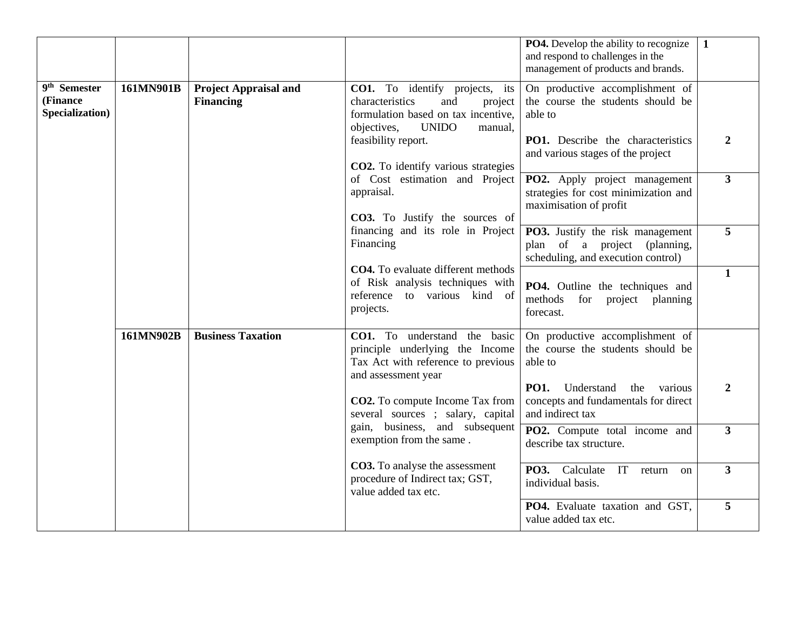|                                                         |           |                                                  |                                                                                                                                                                             | <b>PO4.</b> Develop the ability to recognize<br>and respond to challenges in the<br>management of products and brands.      | $\mathbf{1}$   |
|---------------------------------------------------------|-----------|--------------------------------------------------|-----------------------------------------------------------------------------------------------------------------------------------------------------------------------------|-----------------------------------------------------------------------------------------------------------------------------|----------------|
| 9 <sup>th</sup> Semester<br>(Finance<br>Specialization) | 161MN901B | <b>Project Appraisal and</b><br><b>Financing</b> | CO1. To identify projects, its<br>characteristics<br>and<br>project<br>formulation based on tax incentive,<br><b>UNIDO</b><br>objectives,<br>manual.<br>feasibility report. | On productive accomplishment of<br>the course the students should be<br>able to<br><b>PO1.</b> Describe the characteristics | $\overline{2}$ |
|                                                         |           |                                                  | CO2. To identify various strategies                                                                                                                                         | and various stages of the project                                                                                           |                |
|                                                         |           |                                                  | of Cost estimation and Project<br>appraisal.<br>CO3. To Justify the sources of                                                                                              | PO2. Apply project management<br>strategies for cost minimization and<br>maximisation of profit                             | $\mathbf{3}$   |
|                                                         |           |                                                  | financing and its role in Project<br>Financing                                                                                                                              | <b>PO3.</b> Justify the risk management<br>plan of a project (planning,<br>scheduling, and execution control)               | 5              |
|                                                         |           |                                                  | <b>CO4.</b> To evaluate different methods<br>of Risk analysis techniques with<br>reference to various kind of<br>projects.                                                  | <b>PO4.</b> Outline the techniques and<br>methods<br>for project planning<br>forecast.                                      | $\mathbf{1}$   |
|                                                         | 161MN902B | <b>Business Taxation</b>                         | CO1. To understand the basic<br>principle underlying the Income<br>Tax Act with reference to previous<br>and assessment year                                                | On productive accomplishment of<br>the course the students should be<br>able to                                             |                |
|                                                         |           |                                                  | CO2. To compute Income Tax from<br>several sources ; salary, capital                                                                                                        | <b>PO1.</b><br>Understand<br>the<br>various<br>concepts and fundamentals for direct<br>and indirect tax                     | 2              |
|                                                         |           |                                                  | gain, business, and subsequent<br>exemption from the same.                                                                                                                  | PO2. Compute total income and<br>describe tax structure.                                                                    | $\mathbf{3}$   |
|                                                         |           |                                                  | CO3. To analyse the assessment<br>procedure of Indirect tax; GST,<br>value added tax etc.                                                                                   | PO3. Calculate<br>IT<br>return<br><sub>on</sub><br>individual basis.                                                        | $\mathbf{3}$   |
|                                                         |           |                                                  |                                                                                                                                                                             | PO4. Evaluate taxation and GST,<br>value added tax etc.                                                                     | 5              |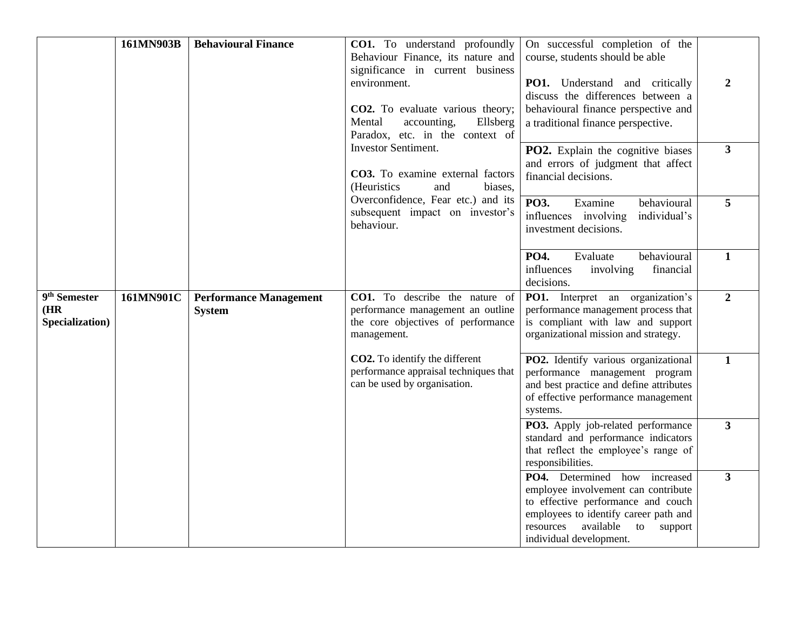|                                                    | 161MN903B | <b>Behavioural Finance</b>                     | <b>CO1.</b> To understand profoundly                                                                                     | On successful completion of the                                                                                                                                                                                           |                         |
|----------------------------------------------------|-----------|------------------------------------------------|--------------------------------------------------------------------------------------------------------------------------|---------------------------------------------------------------------------------------------------------------------------------------------------------------------------------------------------------------------------|-------------------------|
|                                                    |           |                                                | Behaviour Finance, its nature and<br>significance in current business                                                    | course, students should be able                                                                                                                                                                                           |                         |
|                                                    |           |                                                | environment.                                                                                                             | PO1. Understand and critically                                                                                                                                                                                            | $\overline{2}$          |
|                                                    |           |                                                | <b>CO2.</b> To evaluate various theory;                                                                                  | discuss the differences between a<br>behavioural finance perspective and                                                                                                                                                  |                         |
|                                                    |           |                                                | Mental<br>Ellsberg<br>accounting,<br>Paradox, etc. in the context of                                                     | a traditional finance perspective.                                                                                                                                                                                        |                         |
|                                                    |           |                                                | <b>Investor Sentiment.</b>                                                                                               | <b>PO2.</b> Explain the cognitive biases                                                                                                                                                                                  | $\overline{\mathbf{3}}$ |
|                                                    |           |                                                | CO3. To examine external factors<br>(Heuristics<br>and<br>biases,                                                        | and errors of judgment that affect<br>financial decisions.                                                                                                                                                                |                         |
|                                                    |           |                                                | Overconfidence, Fear etc.) and its<br>subsequent impact on investor's                                                    | PO3.<br>behavioural<br>Examine                                                                                                                                                                                            | 5                       |
|                                                    |           |                                                | behaviour.                                                                                                               | influences involving<br>individual's<br>investment decisions.                                                                                                                                                             |                         |
|                                                    |           |                                                |                                                                                                                          | PO4.<br>behavioural<br>Evaluate<br>influences<br>involving<br>financial<br>decisions.                                                                                                                                     | $\mathbf{1}$            |
| 9 <sup>th</sup> Semester<br>(HR<br>Specialization) | 161MN901C | <b>Performance Management</b><br><b>System</b> | CO1. To describe the nature of<br>performance management an outline<br>the core objectives of performance<br>management. | <b>PO1.</b> Interpret an organization's<br>performance management process that<br>is compliant with law and support<br>organizational mission and strategy.                                                               | $\overline{2}$          |
|                                                    |           |                                                | <b>CO2.</b> To identify the different<br>performance appraisal techniques that<br>can be used by organisation.           | PO2. Identify various organizational<br>performance management program<br>and best practice and define attributes<br>of effective performance management<br>systems.                                                      | $\mathbf{1}$            |
|                                                    |           |                                                |                                                                                                                          | PO3. Apply job-related performance<br>standard and performance indicators<br>that reflect the employee's range of<br>responsibilities.                                                                                    | 3 <sup>1</sup>          |
|                                                    |           |                                                |                                                                                                                          | PO4. Determined how increased<br>employee involvement can contribute<br>to effective performance and couch<br>employees to identify career path and<br>available<br>resources<br>to<br>support<br>individual development. | $\mathbf{3}$            |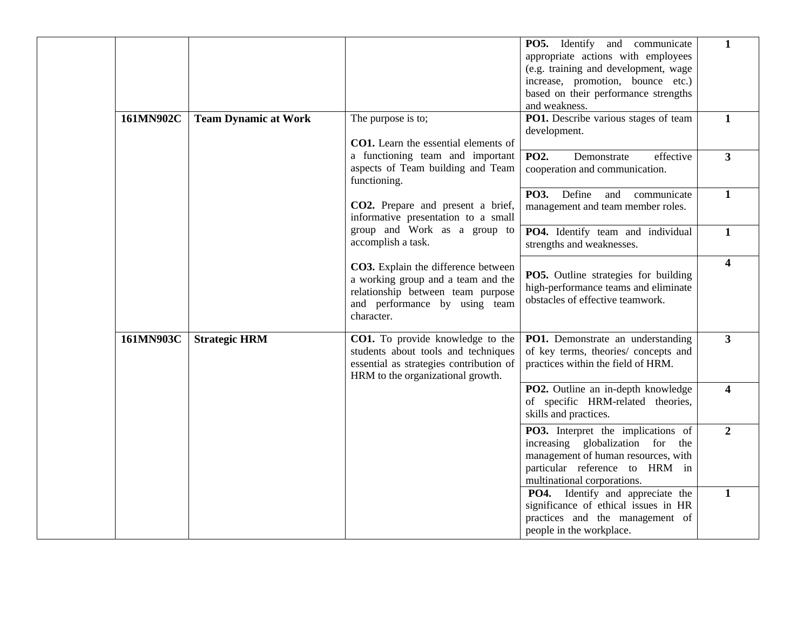|           |                             |                                                                                                                                                               | <b>PO5.</b> Identify and communicate<br>appropriate actions with employees<br>(e.g. training and development, wage<br>increase, promotion, bounce etc.)<br>based on their performance strengths<br>and weakness. | $\mathbf 1$             |
|-----------|-----------------------------|---------------------------------------------------------------------------------------------------------------------------------------------------------------|------------------------------------------------------------------------------------------------------------------------------------------------------------------------------------------------------------------|-------------------------|
| 161MN902C | <b>Team Dynamic at Work</b> | The purpose is to;<br><b>CO1.</b> Learn the essential elements of                                                                                             | PO1. Describe various stages of team<br>development.                                                                                                                                                             | $\mathbf{1}$            |
|           |                             | a functioning team and important<br>aspects of Team building and Team<br>functioning.                                                                         | <b>PO2.</b><br>effective<br>Demonstrate<br>cooperation and communication.                                                                                                                                        | $\mathbf{3}$            |
|           |                             | CO2. Prepare and present a brief,<br>informative presentation to a small                                                                                      | PO3. Define<br>and<br>communicate<br>management and team member roles.                                                                                                                                           | $\mathbf{1}$            |
|           |                             | group and Work as a group to<br>accomplish a task.                                                                                                            | PO4. Identify team and individual<br>strengths and weaknesses.                                                                                                                                                   | $\mathbf{1}$            |
|           |                             | CO3. Explain the difference between<br>a working group and a team and the<br>relationship between team purpose<br>and performance by using team<br>character. | <b>PO5.</b> Outline strategies for building<br>high-performance teams and eliminate<br>obstacles of effective teamwork.                                                                                          | $\overline{\mathbf{4}}$ |
| 161MN903C | <b>Strategic HRM</b>        | CO1. To provide knowledge to the<br>students about tools and techniques<br>essential as strategies contribution of<br>HRM to the organizational growth.       | PO1. Demonstrate an understanding<br>of key terms, theories/ concepts and<br>practices within the field of HRM.                                                                                                  | $\mathbf{3}$            |
|           |                             |                                                                                                                                                               | PO2. Outline an in-depth knowledge<br>of specific HRM-related theories,<br>skills and practices.                                                                                                                 | $\overline{\mathbf{4}}$ |
|           |                             |                                                                                                                                                               | PO3. Interpret the implications of<br>increasing globalization for the<br>management of human resources, with<br>particular reference to HRM in<br>multinational corporations.                                   | $\overline{2}$          |
|           |                             |                                                                                                                                                               | PO4. Identify and appreciate the<br>significance of ethical issues in HR<br>practices and the management of<br>people in the workplace.                                                                          | $\mathbf{1}$            |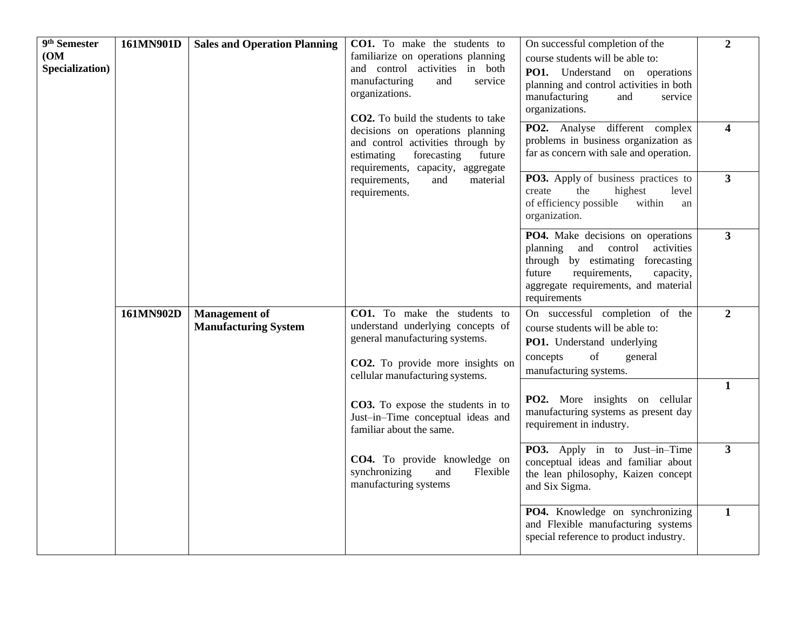| $\overline{9}$ <sup>th</sup> Semester<br>(OM)<br>Specialization) | 161MN901D | <b>Sales and Operation Planning</b> | <b>CO1.</b> To make the students to<br>familiarize on operations planning<br>and control activities in both<br>manufacturing<br>and<br>service<br>organizations.<br>CO2. To build the students to take<br>decisions on operations planning<br>and control activities through by<br>forecasting<br>estimating<br>future<br>requirements, capacity, aggregate<br>requirements,<br>and<br>material | On successful completion of the<br>course students will be able to:<br><b>PO1.</b> Understand on operations<br>planning and control activities in both<br>manufacturing<br>and<br>service<br>organizations.<br>PO2. Analyse different complex<br>problems in business organization as<br>far as concern with sale and operation.<br><b>PO3.</b> Apply of business practices to | $\overline{2}$<br>4<br>$\overline{3}$ |
|------------------------------------------------------------------|-----------|-------------------------------------|-------------------------------------------------------------------------------------------------------------------------------------------------------------------------------------------------------------------------------------------------------------------------------------------------------------------------------------------------------------------------------------------------|--------------------------------------------------------------------------------------------------------------------------------------------------------------------------------------------------------------------------------------------------------------------------------------------------------------------------------------------------------------------------------|---------------------------------------|
|                                                                  |           |                                     | requirements.                                                                                                                                                                                                                                                                                                                                                                                   | the<br>level<br>create<br>highest<br>of efficiency possible<br>within<br>an<br>organization.                                                                                                                                                                                                                                                                                   |                                       |
|                                                                  |           |                                     |                                                                                                                                                                                                                                                                                                                                                                                                 | PO4. Make decisions on operations<br>planning and control<br>activities<br>through by estimating<br>forecasting<br>future<br>requirements,<br>capacity,<br>aggregate requirements, and material<br>requirements                                                                                                                                                                | $\mathbf{3}$                          |
|                                                                  | 161MN902D | <b>Management</b> of                | CO1. To make the students to                                                                                                                                                                                                                                                                                                                                                                    | On successful completion of the                                                                                                                                                                                                                                                                                                                                                | $\boldsymbol{2}$                      |
|                                                                  |           | <b>Manufacturing System</b>         | understand underlying concepts of<br>general manufacturing systems.                                                                                                                                                                                                                                                                                                                             | course students will be able to:                                                                                                                                                                                                                                                                                                                                               |                                       |
|                                                                  |           |                                     | CO2. To provide more insights on<br>cellular manufacturing systems.                                                                                                                                                                                                                                                                                                                             | PO1. Understand underlying<br>of<br>concepts<br>general<br>manufacturing systems.                                                                                                                                                                                                                                                                                              |                                       |
|                                                                  |           |                                     | CO3. To expose the students in to<br>Just-in-Time conceptual ideas and<br>familiar about the same.                                                                                                                                                                                                                                                                                              | PO2. More insights on cellular<br>manufacturing systems as present day<br>requirement in industry.                                                                                                                                                                                                                                                                             | $\mathbf{1}$                          |
|                                                                  |           |                                     | CO4. To provide knowledge on<br>synchronizing<br>and<br>Flexible<br>manufacturing systems                                                                                                                                                                                                                                                                                                       | PO3. Apply in to Just-in-Time<br>conceptual ideas and familiar about<br>the lean philosophy, Kaizen concept<br>and Six Sigma.                                                                                                                                                                                                                                                  | $\mathbf{3}$                          |
|                                                                  |           |                                     |                                                                                                                                                                                                                                                                                                                                                                                                 | PO4. Knowledge on synchronizing<br>and Flexible manufacturing systems<br>special reference to product industry.                                                                                                                                                                                                                                                                | $\mathbf{1}$                          |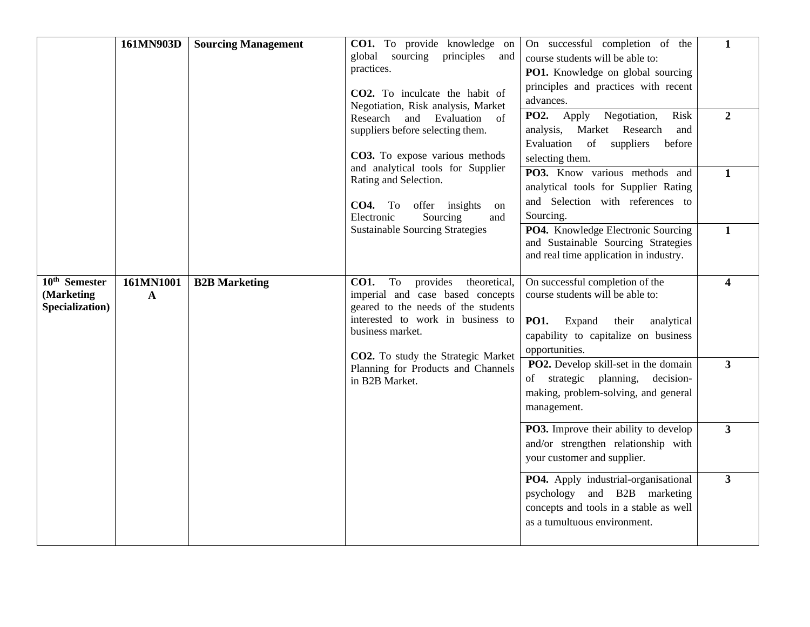|                                                            | 161MN903D      | <b>Sourcing Management</b> | CO1. To provide knowledge on<br>global sourcing principles<br>and<br>practices.<br>CO2. To inculcate the habit of<br>Negotiation, Risk analysis, Market<br>Research<br>and<br>Evaluation<br>of<br>suppliers before selecting them.<br>CO3. To expose various methods<br>and analytical tools for Supplier<br>Rating and Selection.<br>CO4. To offer insights<br>on<br>Electronic<br>Sourcing<br>and<br><b>Sustainable Sourcing Strategies</b> | On successful completion of the<br>course students will be able to:<br>PO1. Knowledge on global sourcing<br>principles and practices with recent<br>advances.<br>PO2. Apply Negotiation,<br>Risk<br>analysis, Market Research<br>and<br>Evaluation<br>of<br>suppliers<br>before<br>selecting them.<br>PO3. Know various methods and<br>analytical tools for Supplier Rating<br>and Selection with references to<br>Sourcing.<br>PO4. Knowledge Electronic Sourcing<br>and Sustainable Sourcing Strategies<br>and real time application in industry. | $\mathbf{1}$<br>$\boldsymbol{2}$<br>$\mathbf{1}$<br>$\mathbf{1}$ |
|------------------------------------------------------------|----------------|----------------------------|-----------------------------------------------------------------------------------------------------------------------------------------------------------------------------------------------------------------------------------------------------------------------------------------------------------------------------------------------------------------------------------------------------------------------------------------------|-----------------------------------------------------------------------------------------------------------------------------------------------------------------------------------------------------------------------------------------------------------------------------------------------------------------------------------------------------------------------------------------------------------------------------------------------------------------------------------------------------------------------------------------------------|------------------------------------------------------------------|
| 10 <sup>th</sup> Semester<br>(Marketing<br>Specialization) | 161MN1001<br>A | <b>B2B Marketing</b>       | provides<br><b>CO1.</b><br>To<br>theoretical,<br>imperial and case based concepts<br>geared to the needs of the students<br>interested to work in business to<br>business market.<br><b>CO2.</b> To study the Strategic Market<br>Planning for Products and Channels<br>in B2B Market.                                                                                                                                                        | On successful completion of the<br>course students will be able to:<br><b>PO1.</b><br>Expand<br>their<br>analytical<br>capability to capitalize on business<br>opportunities.<br>PO2. Develop skill-set in the domain<br>of strategic<br>planning,<br>decision-<br>making, problem-solving, and general<br>management.                                                                                                                                                                                                                              | $\overline{\mathbf{4}}$<br>$\overline{\mathbf{3}}$               |
|                                                            |                |                            |                                                                                                                                                                                                                                                                                                                                                                                                                                               | <b>PO3.</b> Improve their ability to develop<br>and/or strengthen relationship with<br>your customer and supplier.                                                                                                                                                                                                                                                                                                                                                                                                                                  | $\mathbf{3}$                                                     |
|                                                            |                |                            |                                                                                                                                                                                                                                                                                                                                                                                                                                               | PO4. Apply industrial-organisational<br>psychology and B2B marketing<br>concepts and tools in a stable as well<br>as a tumultuous environment.                                                                                                                                                                                                                                                                                                                                                                                                      | $\overline{\mathbf{3}}$                                          |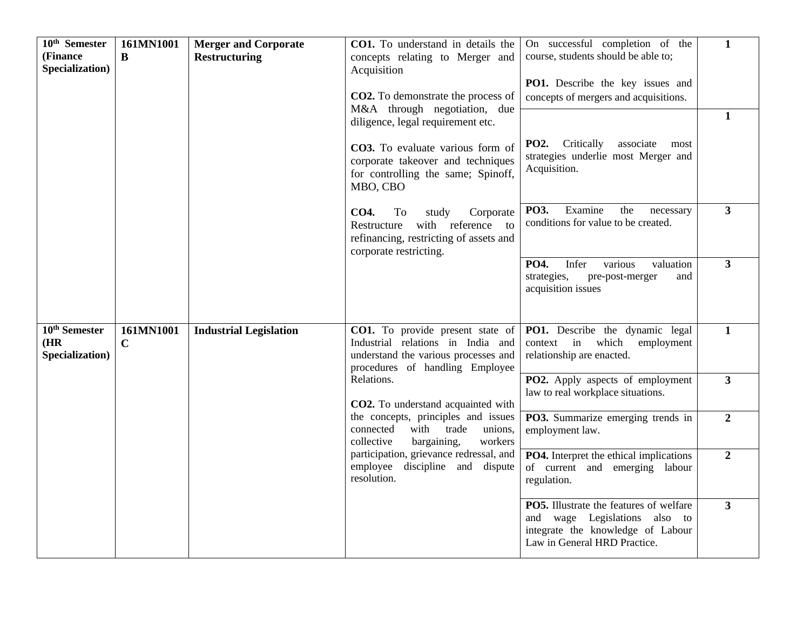| $10th$ Semester                                      | 161MN1001                | <b>Merger and Corporate</b>   | CO1. To understand in details the                                                                                                                | On successful completion of the                                                                                                                      | $\mathbf{1}$            |
|------------------------------------------------------|--------------------------|-------------------------------|--------------------------------------------------------------------------------------------------------------------------------------------------|------------------------------------------------------------------------------------------------------------------------------------------------------|-------------------------|
| (Finance<br>Specialization)                          | B                        | <b>Restructuring</b>          | concepts relating to Merger and                                                                                                                  | course, students should be able to;                                                                                                                  |                         |
|                                                      |                          |                               | Acquisition                                                                                                                                      | PO1. Describe the key issues and                                                                                                                     |                         |
|                                                      |                          |                               | CO2. To demonstrate the process of                                                                                                               | concepts of mergers and acquisitions.                                                                                                                |                         |
|                                                      |                          |                               | M&A through negotiation, due                                                                                                                     |                                                                                                                                                      | $\mathbf{1}$            |
|                                                      |                          |                               | diligence, legal requirement etc.                                                                                                                |                                                                                                                                                      |                         |
|                                                      |                          |                               | CO3. To evaluate various form of<br>corporate takeover and techniques<br>for controlling the same; Spinoff,<br>MBO, CBO                          | <b>PO2.</b> Critically<br>associate most<br>strategies underlie most Merger and<br>Acquisition.                                                      |                         |
|                                                      |                          |                               | To<br>Corporate<br><b>CO4.</b><br>study<br>with reference to<br>Restructure<br>refinancing, restricting of assets and<br>corporate restricting.  | PO3.<br>Examine<br>the<br>necessary<br>conditions for value to be created.                                                                           | $\overline{3}$          |
|                                                      |                          |                               |                                                                                                                                                  | PO4.<br>Infer<br>various<br>valuation<br>strategies,<br>pre-post-merger<br>and<br>acquisition issues                                                 | $\overline{3}$          |
| 10 <sup>th</sup> Semester<br>(HR)<br>Specialization) | 161MN1001<br>$\mathbf C$ | <b>Industrial Legislation</b> | CO1. To provide present state of<br>Industrial relations in India and<br>understand the various processes and<br>procedures of handling Employee | PO1. Describe the dynamic legal<br>context in which<br>employment<br>relationship are enacted.                                                       | $\mathbf{1}$            |
|                                                      |                          |                               | Relations.<br>CO2. To understand acquainted with                                                                                                 | PO2. Apply aspects of employment<br>law to real workplace situations.                                                                                | $\overline{\mathbf{3}}$ |
|                                                      |                          |                               | the concepts, principles and issues<br>with<br>unions,<br>connected<br>trade<br>collective<br>bargaining,<br>workers                             | PO3. Summarize emerging trends in<br>employment law.                                                                                                 | $\overline{2}$          |
|                                                      |                          |                               | participation, grievance redressal, and<br>employee discipline and dispute<br>resolution.                                                        | <b>PO4.</b> Interpret the ethical implications<br>of current and emerging labour<br>regulation.                                                      | $\overline{2}$          |
|                                                      |                          |                               |                                                                                                                                                  | <b>PO5.</b> Illustrate the features of welfare<br>and wage Legislations also to<br>integrate the knowledge of Labour<br>Law in General HRD Practice. | $\overline{\mathbf{3}}$ |